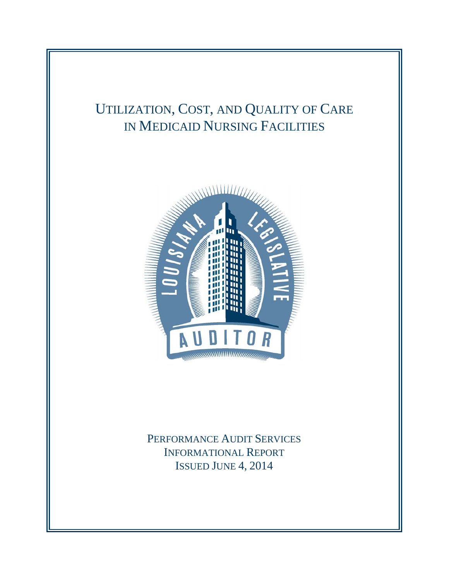# UTILIZATION, COST, AND QUALITY OF CARE IN MEDICAID NURSING FACILITIES



PERFORMANCE AUDIT SERVICES INFORMATIONAL REPORT ISSUED JUNE 4, 2014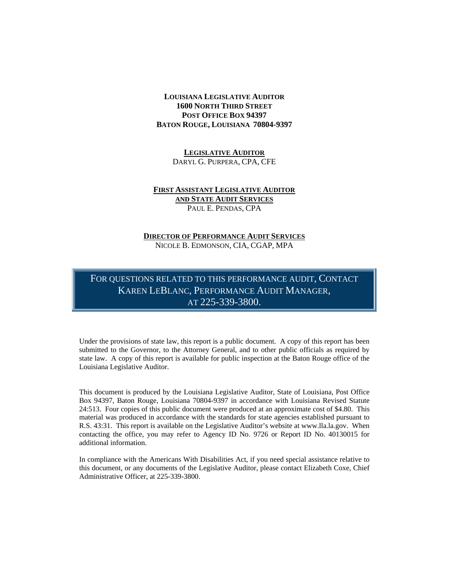## **LOUISIANA LEGISLATIVE AUDITOR 1600 NORTH THIRD STREET POST OFFICE BOX 94397 BATON ROUGE, LOUISIANA 70804-9397**

**LEGISLATIVE AUDITOR** DARYL G. PURPERA, CPA, CFE

### **FIRST ASSISTANT LEGISLATIVE AUDITOR AND STATE AUDIT SERVICES** PAUL E. PENDAS, CPA

#### **DIRECTOR OF PERFORMANCE AUDIT SERVICES** NICOLE B. EDMONSON, CIA, CGAP, MPA

FOR QUESTIONS RELATED TO THIS PERFORMANCE AUDIT, CONTACT KAREN LEBLANC, PERFORMANCE AUDIT MANAGER, AT 225-339-3800.

Under the provisions of state law, this report is a public document. A copy of this report has been submitted to the Governor, to the Attorney General, and to other public officials as required by state law. A copy of this report is available for public inspection at the Baton Rouge office of the Louisiana Legislative Auditor.

This document is produced by the Louisiana Legislative Auditor, State of Louisiana, Post Office Box 94397, Baton Rouge, Louisiana 70804-9397 in accordance with Louisiana Revised Statute 24:513. Four copies of this public document were produced at an approximate cost of \$4.80. This material was produced in accordance with the standards for state agencies established pursuant to R.S. 43:31. This report is available on the Legislative Auditor's website at www.lla.la.gov. When contacting the office, you may refer to Agency ID No. 9726 or Report ID No. 40130015 for additional information.

In compliance with the Americans With Disabilities Act, if you need special assistance relative to this document, or any documents of the Legislative Auditor, please contact Elizabeth Coxe, Chief Administrative Officer, at 225-339-3800.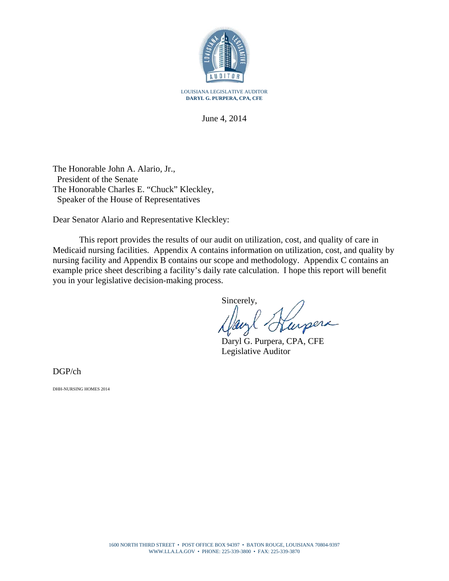

June 4, 2014

The Honorable John A. Alario, Jr., President of the Senate The Honorable Charles E. "Chuck" Kleckley, Speaker of the House of Representatives

Dear Senator Alario and Representative Kleckley:

This report provides the results of our audit on utilization, cost, and quality of care in Medicaid nursing facilities. Appendix A contains information on utilization, cost, and quality by nursing facility and Appendix B contains our scope and methodology. Appendix C contains an example price sheet describing a facility's daily rate calculation. I hope this report will benefit you in your legislative decision-making process.

Sincerely, urpera

Daryl G. Purpera, CPA, CFE Legislative Auditor

DGP/ch

DHH-NURSING HOMES 2014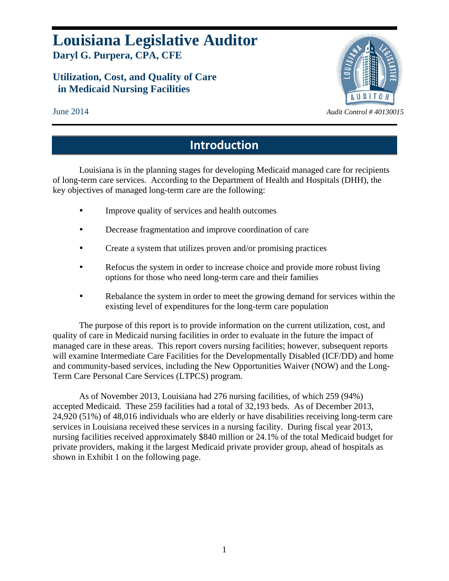# **Louisiana Legislative Auditor Daryl G. Purpera, CPA, CFE**

# **Utilization, Cost, and Quality of Care in Medicaid Nursing Facilities**



# **Introduction**

Louisiana is in the planning stages for developing Medicaid managed care for recipients of long-term care services. According to the Department of Health and Hospitals (DHH), the key objectives of managed long-term care are the following:

- Improve quality of services and health outcomes
- Decrease fragmentation and improve coordination of care
- Create a system that utilizes proven and/or promising practices
- Refocus the system in order to increase choice and provide more robust living options for those who need long-term care and their families
- Rebalance the system in order to meet the growing demand for services within the existing level of expenditures for the long-term care population

The purpose of this report is to provide information on the current utilization, cost, and quality of care in Medicaid nursing facilities in order to evaluate in the future the impact of managed care in these areas. This report covers nursing facilities; however, subsequent reports will examine Intermediate Care Facilities for the Developmentally Disabled (ICF/DD) and home and community-based services, including the New Opportunities Waiver (NOW) and the Long-Term Care Personal Care Services (LTPCS) program.

As of November 2013, Louisiana had 276 nursing facilities, of which 259 (94%) accepted Medicaid. These 259 facilities had a total of 32,193 beds. As of December 2013, 24,920 (51%) of 48,016 individuals who are elderly or have disabilities receiving long-term care services in Louisiana received these services in a nursing facility. During fiscal year 2013, nursing facilities received approximately \$840 million or 24.1% of the total Medicaid budget for private providers, making it the largest Medicaid private provider group, ahead of hospitals as shown in Exhibit 1 on the following page.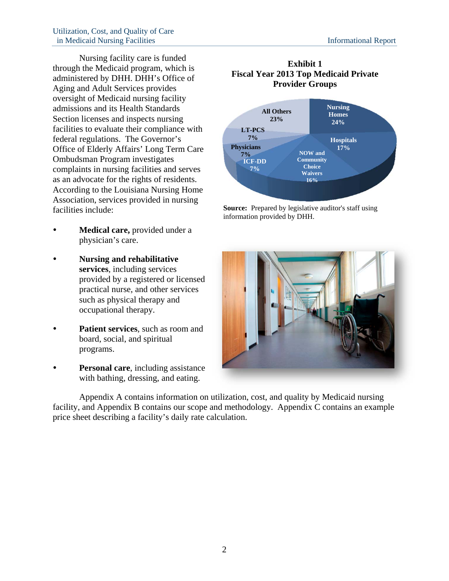Nursing facility care is funded through the Medicaid program, which is administered by DHH. DHH's Office of Aging and Adult Services provides oversight of Medicaid nursing facility admissions and its Health Standards Section licenses and inspects nursing facilities to evaluate their compliance with federal regulations. The Governor's Office of Elderly Affairs' Long Term Care Ombudsman Program investigates complaints in nursing facilities and serves as an advocate for the rights of residents. According to the Louisiana Nursing Home Association, services provided in nursing facilities include:

- **Medical care,** provided under a physician's care.
- **Nursing and rehabilitative services**, including services provided by a registered or licensed practical nurse, and other services such as physical therapy and occupational therapy.
- **Patient services**, such as room and board, social, and spiritual programs.
- **Personal care**, including assistance with bathing, dressing, and eating.

## **Exhibit 1 Fiscal Year 2013 Top Medicaid Private Provider Groups**



**Source:** Prepared by legislative auditor's staff using information provided by DHH.



Appendix A contains information on utilization, cost, and quality by Medicaid nursing facility, and Appendix B contains our scope and methodology. Appendix C contains an example price sheet describing a facility's daily rate calculation.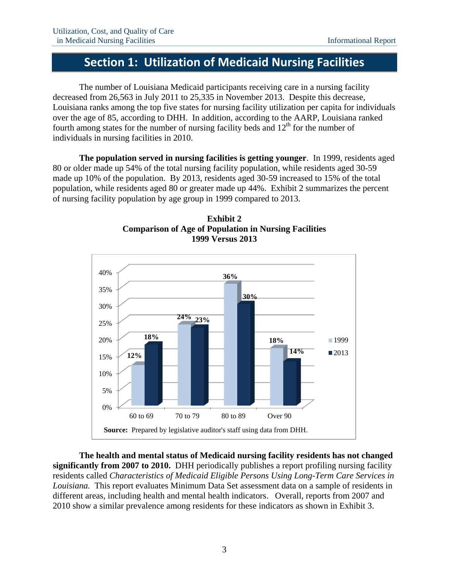# **Section 1: Utilization of Medicaid Nursing Facilities**

The number of Louisiana Medicaid participants receiving care in a nursing facility decreased from 26,563 in July 2011 to 25,335 in November 2013. Despite this decrease, Louisiana ranks among the top five states for nursing facility utilization per capita for individuals over the age of 85, according to DHH. In addition, according to the AARP, Louisiana ranked fourth among states for the number of nursing facility beds and  $12<sup>th</sup>$  for the number of individuals in nursing facilities in 2010.

**The population served in nursing facilities is getting younger**. In 1999, residents aged 80 or older made up 54% of the total nursing facility population, while residents aged 30-59 made up 10% of the population. By 2013, residents aged 30-59 increased to 15% of the total population, while residents aged 80 or greater made up 44%. Exhibit 2 summarizes the percent of nursing facility population by age group in 1999 compared to 2013.





**The health and mental status of Medicaid nursing facility residents has not changed significantly from 2007 to 2010.** DHH periodically publishes a report profiling nursing facility residents called *Characteristics of Medicaid Eligible Persons Using Long-Term Care Services in Louisiana.* This report evaluates Minimum Data Set assessment data on a sample of residents in different areas, including health and mental health indicators. Overall, reports from 2007 and 2010 show a similar prevalence among residents for these indicators as shown in Exhibit 3.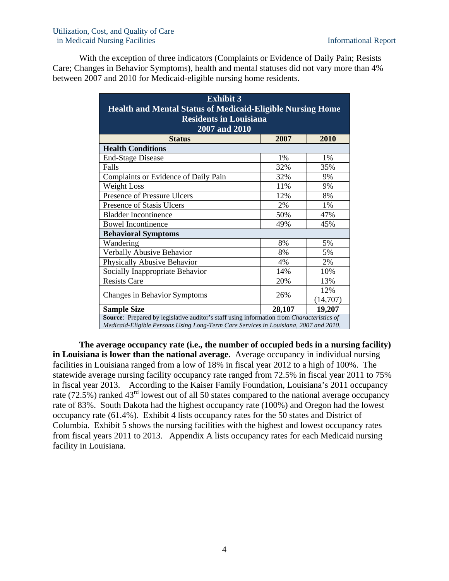With the exception of three indicators (Complaints or Evidence of Daily Pain; Resists Care; Changes in Behavior Symptoms), health and mental statuses did not vary more than 4% between 2007 and 2010 for Medicaid-eligible nursing home residents.

| <b>Exhibit 3</b>                                                                          |       |          |  |  |
|-------------------------------------------------------------------------------------------|-------|----------|--|--|
| <b>Health and Mental Status of Medicaid-Eligible Nursing Home</b>                         |       |          |  |  |
| <b>Residents in Louisiana</b>                                                             |       |          |  |  |
| 2007 and 2010                                                                             |       |          |  |  |
| <b>Status</b>                                                                             | 2007  | 2010     |  |  |
| <b>Health Conditions</b>                                                                  |       |          |  |  |
| <b>End-Stage Disease</b>                                                                  | $1\%$ | 1%       |  |  |
| Falls                                                                                     | 32%   | 35%      |  |  |
| Complaints or Evidence of Daily Pain                                                      | 32%   | 9%       |  |  |
| Weight Loss                                                                               | 11%   | 9%       |  |  |
| Presence of Pressure Ulcers                                                               | 12%   | 8%       |  |  |
| Presence of Stasis Ulcers                                                                 | 2%    | 1%       |  |  |
| <b>Bladder Incontinence</b>                                                               | 50%   | 47%      |  |  |
| <b>Bowel Incontinence</b>                                                                 | 49%   | 45%      |  |  |
| <b>Behavioral Symptoms</b>                                                                |       |          |  |  |
| Wandering                                                                                 | 8%    | 5%       |  |  |
| Verbally Abusive Behavior                                                                 | 8%    | 5%       |  |  |
| Physically Abusive Behavior                                                               | 4%    | 2%       |  |  |
| Socially Inappropriate Behavior                                                           | 14%   | 10%      |  |  |
| <b>Resists Care</b>                                                                       | 20%   | 13%      |  |  |
|                                                                                           |       | 12%      |  |  |
| Changes in Behavior Symptoms<br>26%                                                       |       | (14,707) |  |  |
| 28,107<br>19,207<br><b>Sample Size</b>                                                    |       |          |  |  |
| Source: Prepared by legislative auditor's staff using information from Characteristics of |       |          |  |  |
| Medicaid-Eligible Persons Using Long-Term Care Services in Louisiana, 2007 and 2010.      |       |          |  |  |

**The average occupancy rate (i.e., the number of occupied beds in a nursing facility) in Louisiana is lower than the national average.** Average occupancy in individual nursing facilities in Louisiana ranged from a low of 18% in fiscal year 2012 to a high of 100%. The statewide average nursing facility occupancy rate ranged from 72.5% in fiscal year 2011 to 75% in fiscal year 2013. According to the Kaiser Family Foundation, Louisiana's 2011 occupancy rate (72.5%) ranked 43<sup>rd</sup> lowest out of all 50 states compared to the national average occupancy rate of 83%. South Dakota had the highest occupancy rate (100%) and Oregon had the lowest occupancy rate (61.4%). Exhibit 4 lists occupancy rates for the 50 states and District of Columbia. Exhibit 5 shows the nursing facilities with the highest and lowest occupancy rates from fiscal years 2011 to 2013. Appendix A lists occupancy rates for each Medicaid nursing facility in Louisiana.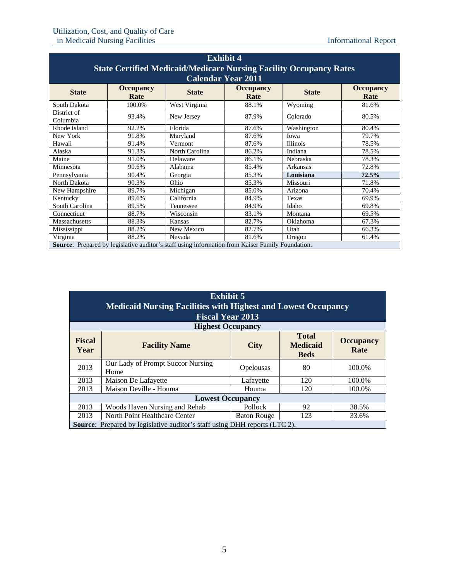| <b>Exhibit 4</b>                                                                                                                 |                                                                                                         |                |                           |                 |       |  |  |  |
|----------------------------------------------------------------------------------------------------------------------------------|---------------------------------------------------------------------------------------------------------|----------------|---------------------------|-----------------|-------|--|--|--|
| <b>State Certified Medicaid/Medicare Nursing Facility Occupancy Rates</b>                                                        |                                                                                                         |                |                           |                 |       |  |  |  |
|                                                                                                                                  |                                                                                                         |                | <b>Calendar Year 2011</b> |                 |       |  |  |  |
| <b>Occupancy</b><br><b>Occupancy</b><br><b>Occupancy</b><br><b>State</b><br><b>State</b><br><b>State</b><br>Rate<br>Rate<br>Rate |                                                                                                         |                |                           |                 |       |  |  |  |
| South Dakota                                                                                                                     | 100.0%                                                                                                  | West Virginia  | 88.1%                     | Wyoming         | 81.6% |  |  |  |
| District of<br>Columbia                                                                                                          | 93.4%                                                                                                   | New Jersey     | 87.9%                     | Colorado        | 80.5% |  |  |  |
| Rhode Island                                                                                                                     | 92.2%                                                                                                   | Florida        | 87.6%                     | Washington      | 80.4% |  |  |  |
| New York                                                                                                                         | 91.8%                                                                                                   | Maryland       | 87.6%                     | Iowa            | 79.7% |  |  |  |
| Hawaii                                                                                                                           | 91.4%                                                                                                   | Vermont        | 87.6%                     | <b>Illinois</b> | 78.5% |  |  |  |
| Alaska                                                                                                                           | 91.3%                                                                                                   | North Carolina | 86.2%                     | Indiana         | 78.5% |  |  |  |
| Maine                                                                                                                            | 91.0%                                                                                                   | Delaware       | 86.1%                     | Nebraska        | 78.3% |  |  |  |
| Minnesota                                                                                                                        | 90.6%                                                                                                   | Alabama        | 85.4%                     | Arkansas        | 72.8% |  |  |  |
| Pennsylvania                                                                                                                     | 90.4%                                                                                                   | Georgia        | 85.3%                     | Louisiana       | 72.5% |  |  |  |
| North Dakota                                                                                                                     | 90.3%                                                                                                   | Ohio           | 85.3%                     | Missouri        | 71.8% |  |  |  |
| New Hampshire                                                                                                                    | 89.7%                                                                                                   | Michigan       | 85.0%                     | Arizona         | 70.4% |  |  |  |
| Kentucky                                                                                                                         | 89.6%                                                                                                   | California     | 84.9%                     | Texas           | 69.9% |  |  |  |
| South Carolina                                                                                                                   | 89.5%                                                                                                   | Tennessee      | 84.9%                     | Idaho           | 69.8% |  |  |  |
| Connecticut                                                                                                                      | 88.7%                                                                                                   | Wisconsin      | 83.1%                     | Montana         | 69.5% |  |  |  |
| Massachusetts                                                                                                                    | 88.3%                                                                                                   | Kansas         | 82.7%                     | Oklahoma        | 67.3% |  |  |  |
| Mississippi                                                                                                                      | 88.2%                                                                                                   | New Mexico     | 82.7%                     | Utah            | 66.3% |  |  |  |
| Virginia                                                                                                                         | 88.2%                                                                                                   | Nevada         | 81.6%                     | Oregon          | 61.4% |  |  |  |
|                                                                                                                                  | <b>Source:</b> Prepared by legislative auditor's staff using information from Kaiser Family Foundation. |                |                           |                 |       |  |  |  |

| <b>Exhibit 5</b><br><b>Medicaid Nursing Facilities with Highest and Lowest Occupancy</b><br><b>Fiscal Year 2013</b> |                                                                                                                   |                    |     |        |  |  |
|---------------------------------------------------------------------------------------------------------------------|-------------------------------------------------------------------------------------------------------------------|--------------------|-----|--------|--|--|
|                                                                                                                     | <b>Highest Occupancy</b>                                                                                          |                    |     |        |  |  |
| <b>Fiscal</b><br>Year                                                                                               | <b>Total</b><br><b>Occupancy</b><br><b>Medicaid</b><br><b>Facility Name</b><br><b>City</b><br>Rate<br><b>Beds</b> |                    |     |        |  |  |
| 2013                                                                                                                | Our Lady of Prompt Succor Nursing<br>Home                                                                         | Opelousas          | 80  | 100.0% |  |  |
| 2013                                                                                                                | Maison De Lafayette                                                                                               | Lafayette          | 120 | 100.0% |  |  |
| 2013                                                                                                                | Maison Deville - Houma                                                                                            | Houma              | 120 | 100.0% |  |  |
| <b>Lowest Occupancy</b>                                                                                             |                                                                                                                   |                    |     |        |  |  |
| 2013                                                                                                                | Woods Haven Nursing and Rehab                                                                                     | Pollock            | 92  | 38.5%  |  |  |
| 2013                                                                                                                | North Point Healthcare Center                                                                                     | <b>Baton Rouge</b> | 123 | 33.6%  |  |  |
|                                                                                                                     | <b>Source:</b> Prepared by legislative auditor's staff using DHH reports (LTC 2).                                 |                    |     |        |  |  |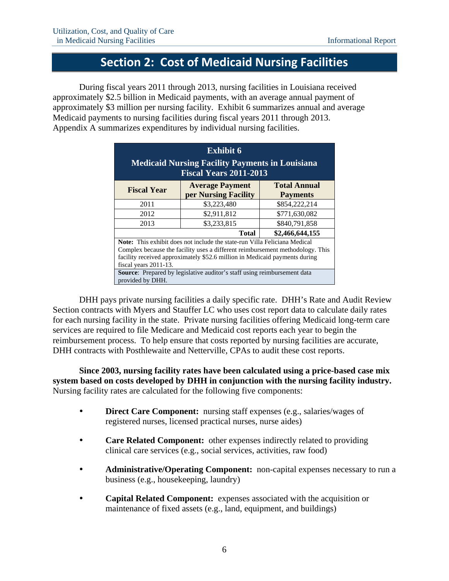# **Section 2: Cost of Medicaid Nursing Facilities**

During fiscal years 2011 through 2013, nursing facilities in Louisiana received approximately \$2.5 billion in Medicaid payments, with an average annual payment of approximately \$3 million per nursing facility. Exhibit 6 summarizes annual and average Medicaid payments to nursing facilities during fiscal years 2011 through 2013. Appendix A summarizes expenditures by individual nursing facilities.

| <b>Exhibit 6</b><br><b>Medicaid Nursing Facility Payments in Louisiana</b><br><b>Fiscal Years 2011-2013</b>                                                                                                                                                              |                                                |                                        |  |  |
|--------------------------------------------------------------------------------------------------------------------------------------------------------------------------------------------------------------------------------------------------------------------------|------------------------------------------------|----------------------------------------|--|--|
| <b>Fiscal Year</b>                                                                                                                                                                                                                                                       | <b>Average Payment</b><br>per Nursing Facility | <b>Total Annual</b><br><b>Payments</b> |  |  |
| 2011                                                                                                                                                                                                                                                                     | \$3,223,480                                    | \$854,222,214                          |  |  |
| 2012                                                                                                                                                                                                                                                                     | \$2,911,812                                    | \$771,630,082                          |  |  |
| 2013                                                                                                                                                                                                                                                                     | \$3,233,815                                    | \$840,791,858                          |  |  |
| \$2,466,644,155<br>Total                                                                                                                                                                                                                                                 |                                                |                                        |  |  |
| <b>Note:</b> This exhibit does not include the state-run Villa Feliciana Medical<br>Complex because the facility uses a different reimbursement methodology. This<br>facility received approximately \$52.6 million in Medicaid payments during<br>fiscal years 2011-13. |                                                |                                        |  |  |
| <b>Source:</b> Prepared by legislative auditor's staff using reimbursement data<br>provided by DHH.                                                                                                                                                                      |                                                |                                        |  |  |

DHH pays private nursing facilities a daily specific rate. DHH's Rate and Audit Review Section contracts with Myers and Stauffer LC who uses cost report data to calculate daily rates for each nursing facility in the state. Private nursing facilities offering Medicaid long-term care services are required to file Medicare and Medicaid cost reports each year to begin the reimbursement process. To help ensure that costs reported by nursing facilities are accurate, DHH contracts with Posthlewaite and Netterville, CPAs to audit these cost reports.

**Since 2003, nursing facility rates have been calculated using a price-based case mix system based on costs developed by DHH in conjunction with the nursing facility industry.**  Nursing facility rates are calculated for the following five components:

- **Direct Care Component:** nursing staff expenses (e.g., salaries/wages of registered nurses, licensed practical nurses, nurse aides)
- **Care Related Component:** other expenses indirectly related to providing clinical care services (e.g., social services, activities, raw food)
- **Administrative/Operating Component:** non-capital expenses necessary to run a business (e.g., housekeeping, laundry)
- **Capital Related Component:** expenses associated with the acquisition or maintenance of fixed assets (e.g., land, equipment, and buildings)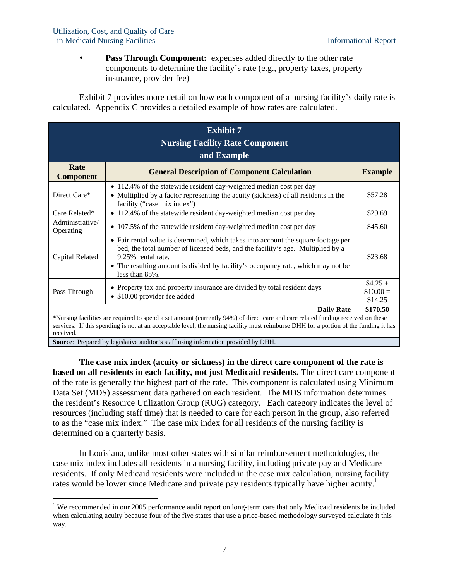1

 **Pass Through Component:** expenses added directly to the other rate components to determine the facility's rate (e.g., property taxes, property insurance, provider fee)

Exhibit 7 provides more detail on how each component of a nursing facility's daily rate is calculated. Appendix C provides a detailed example of how rates are calculated.

| <b>Exhibit 7</b><br><b>Nursing Facility Rate Component</b><br>and Example                                                                                                                                                                                                              |                                                                                                                                                                                                                                                                                                   |                                    |  |  |
|----------------------------------------------------------------------------------------------------------------------------------------------------------------------------------------------------------------------------------------------------------------------------------------|---------------------------------------------------------------------------------------------------------------------------------------------------------------------------------------------------------------------------------------------------------------------------------------------------|------------------------------------|--|--|
| Rate<br><b>Component</b>                                                                                                                                                                                                                                                               | <b>General Description of Component Calculation</b>                                                                                                                                                                                                                                               | <b>Example</b>                     |  |  |
| Direct Care*                                                                                                                                                                                                                                                                           | • 112.4% of the statewide resident day-weighted median cost per day<br>• Multiplied by a factor representing the acuity (sickness) of all residents in the<br>facility ("case mix index")                                                                                                         | \$57.28                            |  |  |
| Care Related*                                                                                                                                                                                                                                                                          | • 112.4% of the statewide resident day-weighted median cost per day                                                                                                                                                                                                                               | \$29.69                            |  |  |
| Administrative/<br>Operating                                                                                                                                                                                                                                                           | • 107.5% of the statewide resident day-weighted median cost per day                                                                                                                                                                                                                               | \$45.60                            |  |  |
| Capital Related                                                                                                                                                                                                                                                                        | • Fair rental value is determined, which takes into account the square footage per<br>bed, the total number of licensed beds, and the facility's age. Multiplied by a<br>9.25% rental rate.<br>• The resulting amount is divided by facility's occupancy rate, which may not be<br>less than 85%. | \$23.68                            |  |  |
| Pass Through                                                                                                                                                                                                                                                                           | • Property tax and property insurance are divided by total resident days<br>• \$10.00 provider fee added                                                                                                                                                                                          | $$4.25 +$<br>$$10.00 =$<br>\$14.25 |  |  |
| \$170.50<br><b>Daily Rate</b>                                                                                                                                                                                                                                                          |                                                                                                                                                                                                                                                                                                   |                                    |  |  |
| *Nursing facilities are required to spend a set amount (currently 94%) of direct care and care related funding received on these<br>services. If this spending is not at an acceptable level, the nursing facility must reimburse DHH for a portion of the funding it has<br>received. |                                                                                                                                                                                                                                                                                                   |                                    |  |  |
| Source: Prepared by legislative auditor's staff using information provided by DHH.                                                                                                                                                                                                     |                                                                                                                                                                                                                                                                                                   |                                    |  |  |

**The case mix index (acuity or sickness) in the direct care component of the rate is based on all residents in each facility, not just Medicaid residents.** The direct care component of the rate is generally the highest part of the rate. This component is calculated using Minimum Data Set (MDS) assessment data gathered on each resident. The MDS information determines the resident's Resource Utilization Group (RUG) category. Each category indicates the level of resources (including staff time) that is needed to care for each person in the group, also referred to as the "case mix index." The case mix index for all residents of the nursing facility is determined on a quarterly basis.

In Louisiana, unlike most other states with similar reimbursement methodologies, the case mix index includes all residents in a nursing facility, including private pay and Medicare residents. If only Medicaid residents were included in the case mix calculation, nursing facility rates would be lower since Medicare and private pay residents typically have higher acuity.<sup>1</sup>

<sup>&</sup>lt;sup>1</sup> We recommended in our 2005 performance audit report on long-term care that only Medicaid residents be included when calculating acuity because four of the five states that use a price-based methodology surveyed calculate it this way.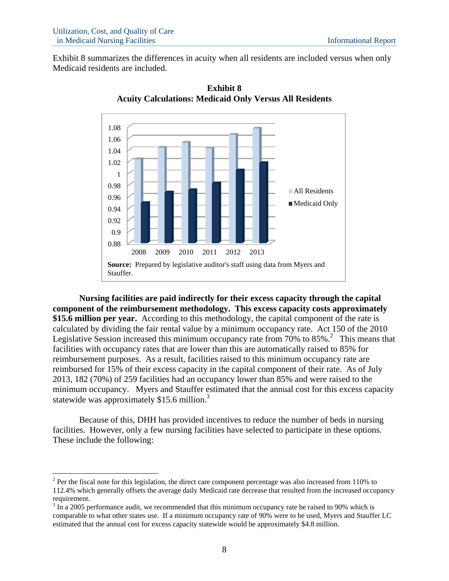1

Exhibit 8 summarizes the differences in acuity when all residents are included versus when only Medicaid residents are included.



**Exhibit 8 Acuity Calculations: Medicaid Only Versus All Residents** 

**Nursing facilities are paid indirectly for their excess capacity through the capital component of the reimbursement methodology. This excess capacity costs approximately \$15.6 million per year.** According to this methodology, the capital component of the rate is calculated by dividing the fair rental value by a minimum occupancy rate. Act 150 of the 2010 Legislative Session increased this minimum occupancy rate from 70% to  $85\%$ .<sup>2</sup> This means that facilities with occupancy rates that are lower than this are automatically raised to 85% for reimbursement purposes. As a result, facilities raised to this minimum occupancy rate are reimbursed for 15% of their excess capacity in the capital component of their rate. As of July 2013, 182 (70%) of 259 facilities had an occupancy lower than 85% and were raised to the minimum occupancy. Myers and Stauffer estimated that the annual cost for this excess capacity statewide was approximately  $$15.6$  million.<sup>3</sup>

Because of this, DHH has provided incentives to reduce the number of beds in nursing facilities. However, only a few nursing facilities have selected to participate in these options. These include the following:

 $2^2$  Per the fiscal note for this legislation, the direct care component percentage was also increased from 110% to 112.4% which generally offsets the average daily Medicaid rate decrease that resulted from the increased occupancy requirement.

 $3 \text{ In a } 2005$  performance audit, we recommended that this minimum occupancy rate be raised to 90% which is comparable to what other states use. If a minimum occupancy rate of 90% were to be used, Myers and Stauffer LC estimated that the annual cost for excess capacity statewide would be approximately \$4.8 million.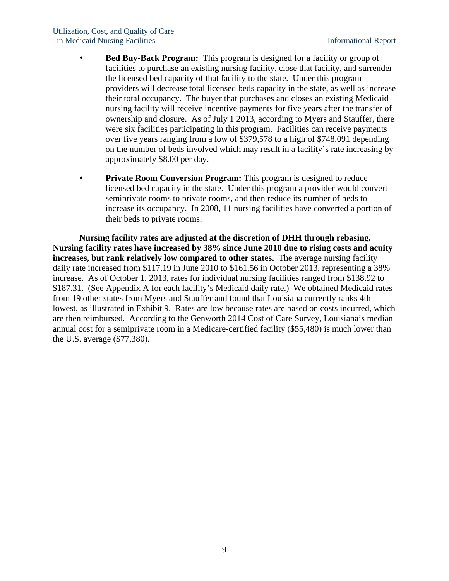- **Bed Buy-Back Program:** This program is designed for a facility or group of facilities to purchase an existing nursing facility, close that facility, and surrender the licensed bed capacity of that facility to the state. Under this program providers will decrease total licensed beds capacity in the state, as well as increase their total occupancy. The buyer that purchases and closes an existing Medicaid nursing facility will receive incentive payments for five years after the transfer of ownership and closure. As of July 1 2013, according to Myers and Stauffer, there were six facilities participating in this program. Facilities can receive payments over five years ranging from a low of \$379,578 to a high of \$748,091 depending on the number of beds involved which may result in a facility's rate increasing by approximately \$8.00 per day.
- **Private Room Conversion Program:** This program is designed to reduce licensed bed capacity in the state. Under this program a provider would convert semiprivate rooms to private rooms, and then reduce its number of beds to increase its occupancy. In 2008, 11 nursing facilities have converted a portion of their beds to private rooms.

**Nursing facility rates are adjusted at the discretion of DHH through rebasing. Nursing facility rates have increased by 38% since June 2010 due to rising costs and acuity increases, but rank relatively low compared to other states.** The average nursing facility daily rate increased from \$117.19 in June 2010 to \$161.56 in October 2013, representing a 38% increase. As of October 1, 2013, rates for individual nursing facilities ranged from \$138.92 to \$187.31. (See Appendix A for each facility's Medicaid daily rate.) We obtained Medicaid rates from 19 other states from Myers and Stauffer and found that Louisiana currently ranks 4th lowest, as illustrated in Exhibit 9. Rates are low because rates are based on costs incurred, which are then reimbursed. According to the Genworth 2014 Cost of Care Survey, Louisiana's median annual cost for a semiprivate room in a Medicare-certified facility (\$55,480) is much lower than the U.S. average (\$77,380).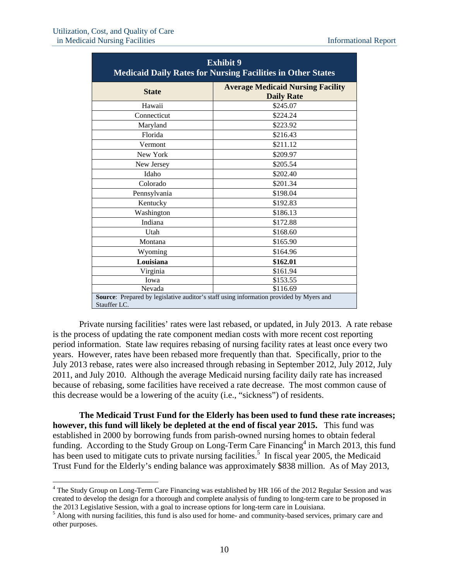$\overline{a}$ 

| <b>Exhibit 9</b><br><b>Medicaid Daily Rates for Nursing Facilities in Other States</b>                  |                                                               |  |  |
|---------------------------------------------------------------------------------------------------------|---------------------------------------------------------------|--|--|
| <b>State</b>                                                                                            | <b>Average Medicaid Nursing Facility</b><br><b>Daily Rate</b> |  |  |
| Hawaii                                                                                                  | \$245.07                                                      |  |  |
| Connecticut                                                                                             | \$224.24                                                      |  |  |
| Maryland                                                                                                | \$223.92                                                      |  |  |
| Florida                                                                                                 | \$216.43                                                      |  |  |
| Vermont                                                                                                 | \$211.12                                                      |  |  |
| New York                                                                                                | \$209.97                                                      |  |  |
| New Jersey                                                                                              | \$205.54                                                      |  |  |
| Idaho                                                                                                   | \$202.40                                                      |  |  |
| Colorado                                                                                                | \$201.34                                                      |  |  |
| Pennsylvania                                                                                            | \$198.04                                                      |  |  |
| Kentucky                                                                                                | \$192.83                                                      |  |  |
| Washington                                                                                              | \$186.13                                                      |  |  |
| Indiana                                                                                                 | \$172.88                                                      |  |  |
| Utah                                                                                                    | \$168.60                                                      |  |  |
| Montana                                                                                                 | \$165.90                                                      |  |  |
| Wyoming                                                                                                 | \$164.96                                                      |  |  |
| Louisiana                                                                                               | \$162.01                                                      |  |  |
| Virginia                                                                                                | \$161.94                                                      |  |  |
| Iowa                                                                                                    | \$153.55                                                      |  |  |
| Nevada                                                                                                  | \$116.69                                                      |  |  |
| Source: Prepared by legislative auditor's staff using information provided by Myers and<br>Stauffer LC. |                                                               |  |  |

Private nursing facilities' rates were last rebased, or updated, in July 2013. A rate rebase is the process of updating the rate component median costs with more recent cost reporting period information. State law requires rebasing of nursing facility rates at least once every two years. However, rates have been rebased more frequently than that. Specifically, prior to the July 2013 rebase, rates were also increased through rebasing in September 2012, July 2012, July 2011, and July 2010. Although the average Medicaid nursing facility daily rate has increased because of rebasing, some facilities have received a rate decrease. The most common cause of this decrease would be a lowering of the acuity (i.e., "sickness") of residents.

**The Medicaid Trust Fund for the Elderly has been used to fund these rate increases; however, this fund will likely be depleted at the end of fiscal year 2015.** This fund was established in 2000 by borrowing funds from parish-owned nursing homes to obtain federal funding. According to the Study Group on Long-Term Care Financing<sup>4</sup> in March 2013, this fund has been used to mitigate cuts to private nursing facilities.<sup>5</sup> In fiscal year 2005, the Medicaid Trust Fund for the Elderly's ending balance was approximately \$838 million. As of May 2013,

<sup>&</sup>lt;sup>4</sup> The Study Group on Long-Term Care Financing was established by HR 166 of the 2012 Regular Session and was created to develop the design for a thorough and complete analysis of funding to long-term care to be proposed in the 2013 Legislative Session, with a goal to increase options for long-term care in Louisiana. 5

<sup>&</sup>lt;sup>5</sup> Along with nursing facilities, this fund is also used for home- and community-based services, primary care and other purposes.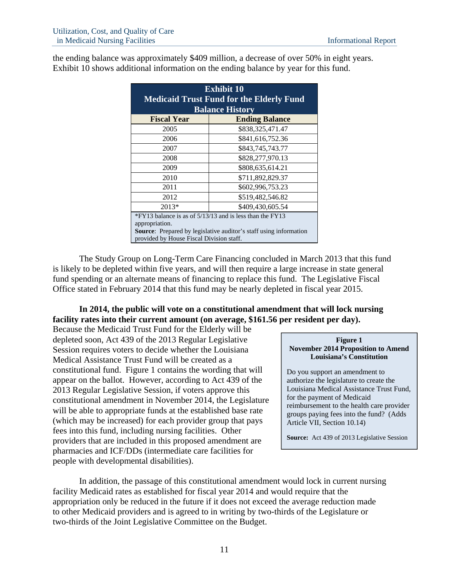the ending balance was approximately \$409 million, a decrease of over 50% in eight years. Exhibit 10 shows additional information on the ending balance by year for this fund.

| <b>Exhibit 10</b><br><b>Medicaid Trust Fund for the Elderly Fund</b><br><b>Balance History</b>                                                                                              |                       |  |
|---------------------------------------------------------------------------------------------------------------------------------------------------------------------------------------------|-----------------------|--|
| <b>Fiscal Year</b>                                                                                                                                                                          | <b>Ending Balance</b> |  |
| 2005                                                                                                                                                                                        | \$838,325,471.47      |  |
| 2006                                                                                                                                                                                        | \$841,616,752.36      |  |
| 2007                                                                                                                                                                                        | \$843,745,743.77      |  |
| 2008                                                                                                                                                                                        | \$828,277,970.13      |  |
| 2009                                                                                                                                                                                        | \$808,635,614.21      |  |
| 2010                                                                                                                                                                                        | \$711,892,829.37      |  |
| 2011                                                                                                                                                                                        | \$602,996,753.23      |  |
| 2012                                                                                                                                                                                        | \$519,482,546.82      |  |
| $2013*$                                                                                                                                                                                     | \$409,430,605.54      |  |
| *FY13 balance is as of 5/13/13 and is less than the FY13<br>appropriation.<br>Source: Prepared by legislative auditor's staff using information<br>provided by House Fiscal Division staff. |                       |  |

The Study Group on Long-Term Care Financing concluded in March 2013 that this fund is likely to be depleted within five years, and will then require a large increase in state general fund spending or an alternate means of financing to replace this fund. The Legislative Fiscal Office stated in February 2014 that this fund may be nearly depleted in fiscal year 2015.

## **In 2014, the public will vote on a constitutional amendment that will lock nursing facility rates into their current amount (on average, \$161.56 per resident per day).**

Because the Medicaid Trust Fund for the Elderly will be depleted soon, Act 439 of the 2013 Regular Legislative Session requires voters to decide whether the Louisiana Medical Assistance Trust Fund will be created as a constitutional fund. Figure 1 contains the wording that will appear on the ballot. However, according to Act 439 of the 2013 Regular Legislative Session, if voters approve this constitutional amendment in November 2014, the Legislature will be able to appropriate funds at the established base rate (which may be increased) for each provider group that pays fees into this fund, including nursing facilities. Other providers that are included in this proposed amendment are pharmacies and ICF/DDs (intermediate care facilities for people with developmental disabilities).

### **Figure 1 November 2014 Proposition to Amend Louisiana's Constitution**

Do you support an amendment to authorize the legislature to create the Louisiana Medical Assistance Trust Fund, for the payment of Medicaid reimbursement to the health care provider groups paying fees into the fund? (Adds Article VII, Section 10.14)

**Source:** Act 439 of 2013 Legislative Session

In addition, the passage of this constitutional amendment would lock in current nursing facility Medicaid rates as established for fiscal year 2014 and would require that the appropriation only be reduced in the future if it does not exceed the average reduction made to other Medicaid providers and is agreed to in writing by two-thirds of the Legislature or two-thirds of the Joint Legislative Committee on the Budget.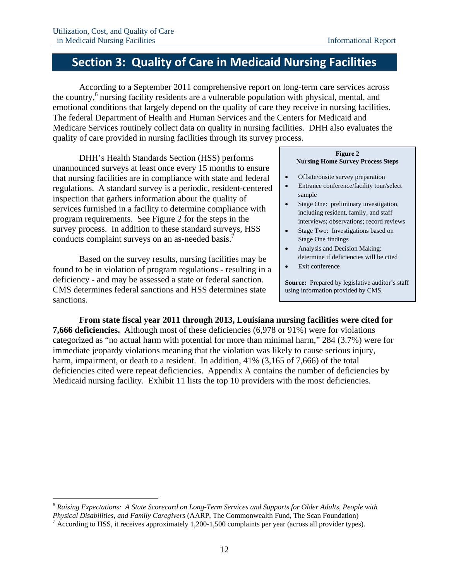# **Section 3: Quality of Care in Medicaid Nursing Facilities**

According to a September 2011 comprehensive report on long-term care services across the country,<sup>6</sup> nursing facility residents are a vulnerable population with physical, mental, and emotional conditions that largely depend on the quality of care they receive in nursing facilities. The federal Department of Health and Human Services and the Centers for Medicaid and Medicare Services routinely collect data on quality in nursing facilities. DHH also evaluates the quality of care provided in nursing facilities through its survey process.

DHH's Health Standards Section (HSS) performs unannounced surveys at least once every 15 months to ensure that nursing facilities are in compliance with state and federal regulations. A standard survey is a periodic, resident-centered inspection that gathers information about the quality of services furnished in a facility to determine compliance with program requirements. See Figure 2 for the steps in the survey process. In addition to these standard surveys, HSS conducts complaint surveys on an as-needed basis.

Based on the survey results, nursing facilities may be found to be in violation of program regulations - resulting in a deficiency - and may be assessed a state or federal sanction. CMS determines federal sanctions and HSS determines state sanctions.

 $\overline{a}$ 

#### **Figure 2 Nursing Home Survey Process Steps**

- Offsite/onsite survey preparation
- Entrance conference/facility tour/select sample
- Stage One: preliminary investigation, including resident, family, and staff interviews; observations; record reviews
- Stage Two: Investigations based on Stage One findings
- Analysis and Decision Making: determine if deficiencies will be cited
- Exit conference

**Source:** Prepared by legislative auditor's staff using information provided by CMS.

**From state fiscal year 2011 through 2013, Louisiana nursing facilities were cited for 7,666 deficiencies.** Although most of these deficiencies (6,978 or 91%) were for violations categorized as "no actual harm with potential for more than minimal harm," 284 (3.7%) were for immediate jeopardy violations meaning that the violation was likely to cause serious injury, harm, impairment, or death to a resident. In addition, 41% (3,165 of 7,666) of the total deficiencies cited were repeat deficiencies. Appendix A contains the number of deficiencies by Medicaid nursing facility. Exhibit 11 lists the top 10 providers with the most deficiencies.

<sup>6</sup> *Raising Expectations: A State Scorecard on Long-Term Services and Supports for Older Adults, People with Physical Disabilities, and Family Caregivers* (AARP, The Commonwealth Fund, The Scan Foundation) 7

 $^7$  According to HSS, it receives approximately 1,200-1,500 complaints per year (across all provider types).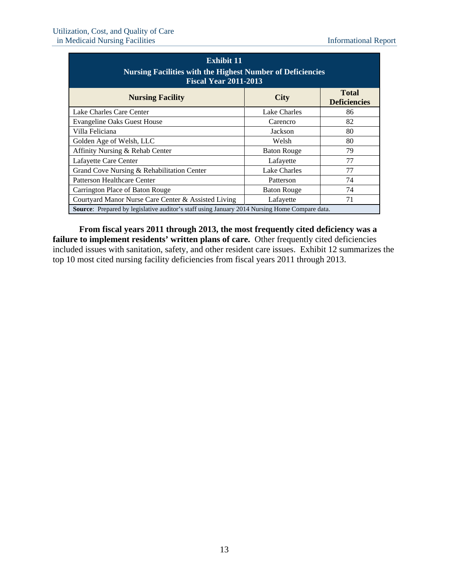| <b>Exhibit 11</b><br><b>Nursing Facilities with the Highest Number of Deficiencies</b><br><b>Fiscal Year 2011-2013</b> |                    |                                     |  |  |
|------------------------------------------------------------------------------------------------------------------------|--------------------|-------------------------------------|--|--|
| <b>Nursing Facility</b>                                                                                                | <b>City</b>        | <b>Total</b><br><b>Deficiencies</b> |  |  |
| Lake Charles Care Center                                                                                               | Lake Charles       | 86                                  |  |  |
| <b>Evangeline Oaks Guest House</b>                                                                                     | Carencro           | 82                                  |  |  |
| Villa Feliciana                                                                                                        | Jackson            | 80                                  |  |  |
| Golden Age of Welsh, LLC                                                                                               | Welsh              | 80                                  |  |  |
| Affinity Nursing & Rehab Center                                                                                        | <b>Baton Rouge</b> | 79                                  |  |  |
| Lafayette Care Center                                                                                                  | Lafayette          | 77                                  |  |  |
| Grand Cove Nursing & Rehabilitation Center                                                                             | Lake Charles       | 77                                  |  |  |
| Patterson Healthcare Center                                                                                            | Patterson          | 74                                  |  |  |
| Carrington Place of Baton Rouge                                                                                        | <b>Baton Rouge</b> | 74                                  |  |  |
| Courtyard Manor Nurse Care Center & Assisted Living                                                                    | Lafayette          | 71                                  |  |  |
| Source: Prepared by legislative auditor's staff using January 2014 Nursing Home Compare data.                          |                    |                                     |  |  |

**From fiscal years 2011 through 2013, the most frequently cited deficiency was a**  failure to implement residents' written plans of care. Other frequently cited deficiencies included issues with sanitation, safety, and other resident care issues. Exhibit 12 summarizes the top 10 most cited nursing facility deficiencies from fiscal years 2011 through 2013.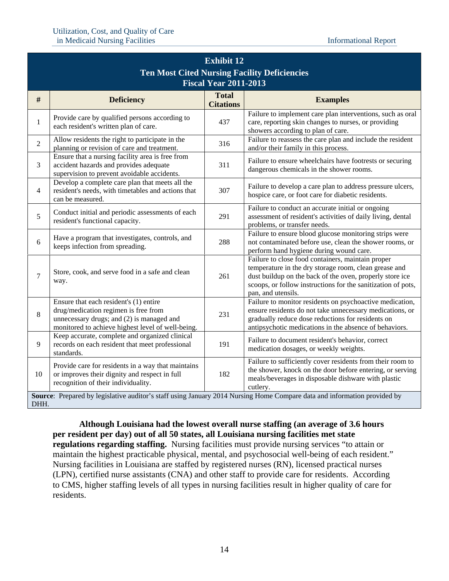|                | <b>Exhibit 12</b>                                                                                                                                                                |                                  |                                                                                                                                                                                                                                                              |  |  |  |
|----------------|----------------------------------------------------------------------------------------------------------------------------------------------------------------------------------|----------------------------------|--------------------------------------------------------------------------------------------------------------------------------------------------------------------------------------------------------------------------------------------------------------|--|--|--|
|                | <b>Ten Most Cited Nursing Facility Deficiencies</b><br><b>Fiscal Year 2011-2013</b>                                                                                              |                                  |                                                                                                                                                                                                                                                              |  |  |  |
| $\#$           | <b>Deficiency</b>                                                                                                                                                                | <b>Total</b><br><b>Citations</b> | <b>Examples</b>                                                                                                                                                                                                                                              |  |  |  |
| $\mathbf 1$    | Provide care by qualified persons according to<br>each resident's written plan of care.                                                                                          | 437                              | Failure to implement care plan interventions, such as oral<br>care, reporting skin changes to nurses, or providing<br>showers according to plan of care.                                                                                                     |  |  |  |
| $\overline{2}$ | Allow residents the right to participate in the<br>planning or revision of care and treatment.                                                                                   | 316                              | Failure to reassess the care plan and include the resident<br>and/or their family in this process.                                                                                                                                                           |  |  |  |
| 3              | Ensure that a nursing facility area is free from<br>accident hazards and provides adequate<br>supervision to prevent avoidable accidents.                                        | 311                              | Failure to ensure wheelchairs have footrests or securing<br>dangerous chemicals in the shower rooms.                                                                                                                                                         |  |  |  |
| 4              | Develop a complete care plan that meets all the<br>resident's needs, with timetables and actions that<br>can be measured.                                                        | 307                              | Failure to develop a care plan to address pressure ulcers,<br>hospice care, or foot care for diabetic residents.                                                                                                                                             |  |  |  |
| 5              | Conduct initial and periodic assessments of each<br>resident's functional capacity.                                                                                              | 291                              | Failure to conduct an accurate initial or ongoing<br>assessment of resident's activities of daily living, dental<br>problems, or transfer needs.                                                                                                             |  |  |  |
| 6              | Have a program that investigates, controls, and<br>keeps infection from spreading.                                                                                               | 288                              | Failure to ensure blood glucose monitoring strips were<br>not contaminated before use, clean the shower rooms, or<br>perform hand hygiene during wound care.                                                                                                 |  |  |  |
| $\tau$         | Store, cook, and serve food in a safe and clean<br>way.                                                                                                                          | 261                              | Failure to close food containers, maintain proper<br>temperature in the dry storage room, clean grease and<br>dust buildup on the back of the oven, properly store ice<br>scoops, or follow instructions for the sanitization of pots,<br>pan, and utensils. |  |  |  |
| 8              | Ensure that each resident's (1) entire<br>drug/medication regimen is free from<br>unnecessary drugs; and (2) is managed and<br>monitored to achieve highest level of well-being. | 231                              | Failure to monitor residents on psychoactive medication,<br>ensure residents do not take unnecessary medications, or<br>gradually reduce dose reductions for residents on<br>antipsychotic medications in the absence of behaviors.                          |  |  |  |
| 9              | Keep accurate, complete and organized clinical<br>records on each resident that meet professional<br>standards.                                                                  | 191                              | Failure to document resident's behavior, correct<br>medication dosages, or weekly weights.                                                                                                                                                                   |  |  |  |
| 10             | Provide care for residents in a way that maintains<br>or improves their dignity and respect in full<br>recognition of their individuality.                                       | 182                              | Failure to sufficiently cover residents from their room to<br>the shower, knock on the door before entering, or serving<br>meals/beverages in disposable dishware with plastic<br>cutlery.                                                                   |  |  |  |
|                | Source: Prepared by legislative auditor's staff using January 2014 Nursing Home Compare data and information provided by<br>DHH.                                                 |                                  |                                                                                                                                                                                                                                                              |  |  |  |

**Although Louisiana had the lowest overall nurse staffing (an average of 3.6 hours per resident per day) out of all 50 states, all Louisiana nursing facilities met state regulations regarding staffing.** Nursing facilities must provide nursing services "to attain or maintain the highest practicable physical, mental, and psychosocial well-being of each resident."

Nursing facilities in Louisiana are staffed by registered nurses (RN), licensed practical nurses (LPN), certified nurse assistants (CNA) and other staff to provide care for residents. According to CMS, higher staffing levels of all types in nursing facilities result in higher quality of care for residents.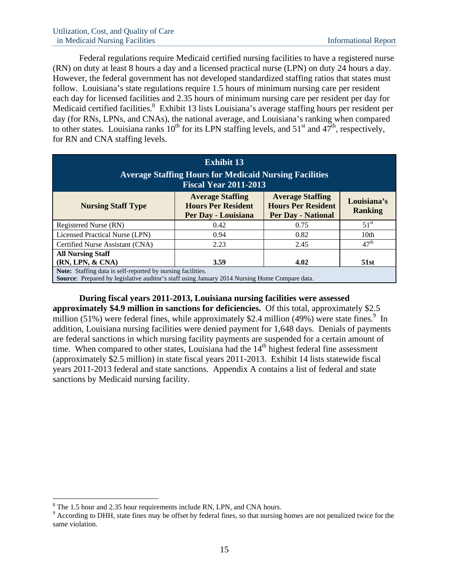Federal regulations require Medicaid certified nursing facilities to have a registered nurse (RN) on duty at least 8 hours a day and a licensed practical nurse (LPN) on duty 24 hours a day. However, the federal government has not developed standardized staffing ratios that states must follow. Louisiana's state regulations require 1.5 hours of minimum nursing care per resident each day for licensed facilities and 2.35 hours of minimum nursing care per resident per day for Medicaid certified facilities.<sup>8</sup> Exhibit 13 lists Louisiana's average staffing hours per resident per day (for RNs, LPNs, and CNAs), the national average, and Louisiana's ranking when compared to other states. Louisiana ranks  $10^{th}$  for its LPN staffing levels, and  $51^{st}$  and  $47^{th}$ , respectively, for RN and CNA staffing levels.

| <b>Exhibit 13</b><br><b>Average Staffing Hours for Medicaid Nursing Facilities</b><br><b>Fiscal Year 2011-2013</b>                                                                                                             |      |      |                  |  |  |
|--------------------------------------------------------------------------------------------------------------------------------------------------------------------------------------------------------------------------------|------|------|------------------|--|--|
| <b>Average Staffing</b><br><b>Average Staffing</b><br>Louisiana's<br><b>Hours Per Resident</b><br><b>Hours Per Resident</b><br><b>Nursing Staff Type</b><br><b>Ranking</b><br><b>Per Day - National</b><br>Per Day - Louisiana |      |      |                  |  |  |
| Registered Nurse (RN)                                                                                                                                                                                                          | 0.42 | 0.75 | 51 <sup>st</sup> |  |  |
| Licensed Practical Nurse (LPN)                                                                                                                                                                                                 | 0.94 | 0.82 | 10th             |  |  |
| Certified Nurse Assistant (CNA)                                                                                                                                                                                                | 2.23 | 2.45 | 47 <sup>th</sup> |  |  |
| <b>All Nursing Staff</b><br>(RN, LPN, & CNA)<br>4.02<br>3.59<br><b>51st</b>                                                                                                                                                    |      |      |                  |  |  |
| Note: Staffing data is self-reported by nursing facilities.<br>Source: Prepared by legislative auditor's staff using January 2014 Nursing Home Compare data.                                                                   |      |      |                  |  |  |

**During fiscal years 2011-2013, Louisiana nursing facilities were assessed approximately \$4.9 million in sanctions for deficiencies.** Of this total, approximately \$2.5 million  $(51\%)$  were federal fines, while approximately \$2.4 million  $(49\%)$  were state fines.<sup>9</sup> In addition, Louisiana nursing facilities were denied payment for 1,648 days. Denials of payments are federal sanctions in which nursing facility payments are suspended for a certain amount of time. When compared to other states, Louisiana had the  $14<sup>th</sup>$  highest federal fine assessment (approximately \$2.5 million) in state fiscal years 2011-2013. Exhibit 14 lists statewide fiscal years 2011-2013 federal and state sanctions. Appendix A contains a list of federal and state sanctions by Medicaid nursing facility.

1

 $8$  The 1.5 hour and 2.35 hour requirements include RN, LPN, and CNA hours.

<sup>&</sup>lt;sup>9</sup> According to DHH, state fines may be offset by federal fines, so that nursing homes are not penalized twice for the same violation.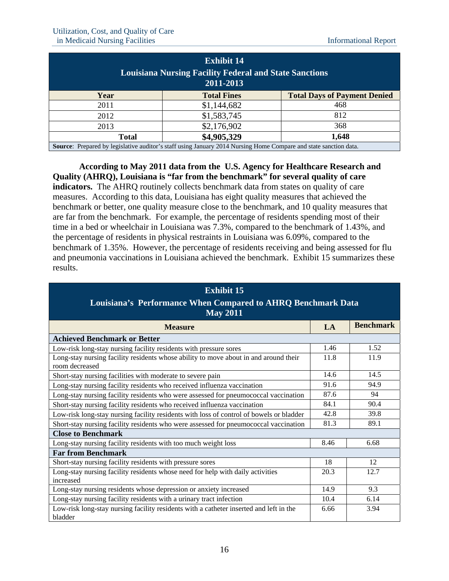| <b>Exhibit 14</b>                                                                                                       |                    |                                     |  |
|-------------------------------------------------------------------------------------------------------------------------|--------------------|-------------------------------------|--|
| <b>Louisiana Nursing Facility Federal and State Sanctions</b><br>2011-2013                                              |                    |                                     |  |
| Year                                                                                                                    | <b>Total Fines</b> | <b>Total Days of Payment Denied</b> |  |
| 2011                                                                                                                    | \$1,144,682        | 468                                 |  |
| 2012                                                                                                                    | \$1,583,745        | 812                                 |  |
| 2013                                                                                                                    | \$2,176,902        | 368                                 |  |
| <b>Total</b>                                                                                                            | \$4,905,329        | 1,648                               |  |
| <b>Source:</b> Prepared by legislative auditor's staff using January 2014 Nursing Home Compare and state sanction data. |                    |                                     |  |

**According to May 2011 data from the U.S. Agency for Healthcare Research and Quality (AHRQ), Louisiana is "far from the benchmark" for several quality of care indicators.** The AHRQ routinely collects benchmark data from states on quality of care measures. According to this data, Louisiana has eight quality measures that achieved the benchmark or better, one quality measure close to the benchmark, and 10 quality measures that are far from the benchmark. For example, the percentage of residents spending most of their time in a bed or wheelchair in Louisiana was 7.3%, compared to the benchmark of 1.43%, and the percentage of residents in physical restraints in Louisiana was 6.09%, compared to the benchmark of 1.35%. However, the percentage of residents receiving and being assessed for flu and pneumonia vaccinations in Louisiana achieved the benchmark.Exhibit 15 summarizes these results.

### **Exhibit 15 Louisiana's Performance When Compared to AHRQ Benchmark Data May 2011 Measure LA Benchmark LA Benchmark Achieved Benchmark or Better**  Low-risk long-stay nursing facility residents with pressure sores 1.46 1.52 Long-stay nursing facility residents whose ability to move about in and around their room decreased 11.8 11.9 Short-stay nursing facilities with moderate to severe pain 14.6 14.5 Long-stay nursing facility residents who received influenza vaccination 91.6 91.6 94.9 Long-stay nursing facility residents who were assessed for pneumococcal vaccination 87.6 94 Short-stay nursing facility residents who received influenza vaccination 84.1 | 90.4 Low-risk long-stay nursing facility residents with loss of control of bowels or bladder 42.8 39.8 Short-stay nursing facility residents who were assessed for pneumococcal vaccination  $\begin{bmatrix} 81.3 \\ 89.1 \end{bmatrix}$  89.1 **Close to Benchmark**  Long-stay nursing facility residents with too much weight loss  $\begin{array}{|l} \hline \text{8.46} \end{array}$  8.46 6.68 **Far from Benchmark**  Short-stay nursing facility residents with pressure sores 18 12 Long-stay nursing facility residents whose need for help with daily activities increased 20.3 12.7 Long-stay nursing residents whose depression or anxiety increased 14.9 14.9 9.3 Long-stay nursing facility residents with a urinary tract infection 10.4 6.14 6.14 Low-risk long-stay nursing facility residents with a catheter inserted and left in the bladder 6.66 3.94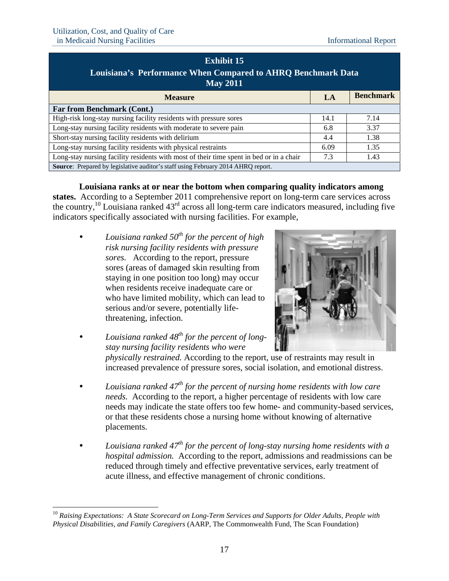$\overline{a}$ 

| <b>Exhibit 15</b>                                                                       |      |                  |  |
|-----------------------------------------------------------------------------------------|------|------------------|--|
| Louisiana's Performance When Compared to AHRQ Benchmark Data<br><b>May 2011</b>         |      |                  |  |
| <b>Measure</b>                                                                          | LA   | <b>Benchmark</b> |  |
| <b>Far from Benchmark (Cont.)</b>                                                       |      |                  |  |
| High-risk long-stay nursing facility residents with pressure sores                      | 14.1 | 7.14             |  |
| Long-stay nursing facility residents with moderate to severe pain                       | 6.8  | 3.37             |  |
| Short-stay nursing facility residents with delirium                                     | 4.4  | 1.38             |  |
| Long-stay nursing facility residents with physical restraints                           | 6.09 | 1.35             |  |
| Long-stay nursing facility residents with most of their time spent in bed or in a chair | 7.3  | 1.43             |  |
| Source: Prepared by legislative auditor's staff using February 2014 AHRQ report.        |      |                  |  |

**Louisiana ranks at or near the bottom when comparing quality indicators among** 

**states.** According to a September 2011 comprehensive report on long-term care services across the country,<sup>10</sup> Louisiana ranked  $43<sup>rd</sup>$  across all long-term care indicators measured, including five indicators specifically associated with nursing facilities. For example,

 *Louisiana ranked 50th for the percent of high risk nursing facility residents with pressure sores.* According to the report, pressure sores (areas of damaged skin resulting from staying in one position too long) may occur when residents receive inadequate care or who have limited mobility, which can lead to serious and/or severe, potentially lifethreatening, infection.



- *Louisiana ranked 48th for the percent of longstay nursing facility residents who were physically restrained.* According to the report, use of restraints may result in increased prevalence of pressure sores, social isolation, and emotional distress.
- *Louisiana ranked 47th for the percent of nursing home residents with low care needs.* According to the report, a higher percentage of residents with low care needs may indicate the state offers too few home- and community-based services, or that these residents chose a nursing home without knowing of alternative placements.
- *Louisiana ranked 47th for the percent of long-stay nursing home residents with a hospital admission.* According to the report, admissions and readmissions can be reduced through timely and effective preventative services, early treatment of acute illness, and effective management of chronic conditions.

<sup>&</sup>lt;sup>10</sup> Raising Expectations: A State Scorecard on Long-Term Services and Supports for Older Adults, People with *Physical Disabilities, and Family Caregivers* (AARP, The Commonwealth Fund, The Scan Foundation)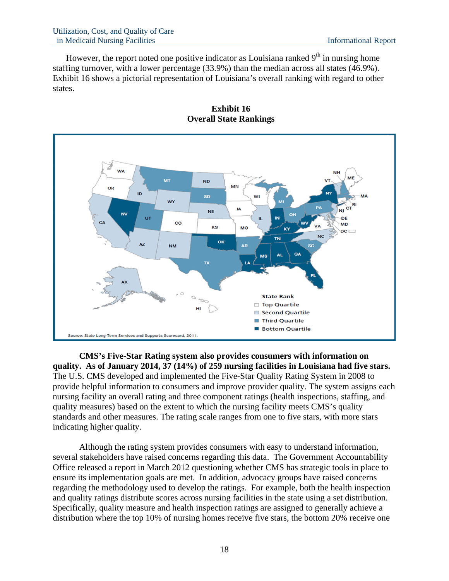However, the report noted one positive indicator as Louisiana ranked  $9<sup>th</sup>$  in nursing home staffing turnover, with a lower percentage (33.9%) than the median across all states (46.9%). Exhibit 16 shows a pictorial representation of Louisiana's overall ranking with regard to other states.





**CMS's Five-Star Rating system also provides consumers with information on quality. As of January 2014, 37 (14%) of 259 nursing facilities in Louisiana had five stars.**  The U.S. CMS developed and implemented the Five-Star Quality Rating System in 2008 to provide helpful information to consumers and improve provider quality. The system assigns each nursing facility an overall rating and three component ratings (health inspections, staffing, and quality measures) based on the extent to which the nursing facility meets CMS's quality standards and other measures. The rating scale ranges from one to five stars, with more stars indicating higher quality.

Although the rating system provides consumers with easy to understand information, several stakeholders have raised concerns regarding this data. The Government Accountability Office released a report in March 2012 questioning whether CMS has strategic tools in place to ensure its implementation goals are met. In addition, advocacy groups have raised concerns regarding the methodology used to develop the ratings. For example, both the health inspection and quality ratings distribute scores across nursing facilities in the state using a set distribution. Specifically, quality measure and health inspection ratings are assigned to generally achieve a distribution where the top 10% of nursing homes receive five stars, the bottom 20% receive one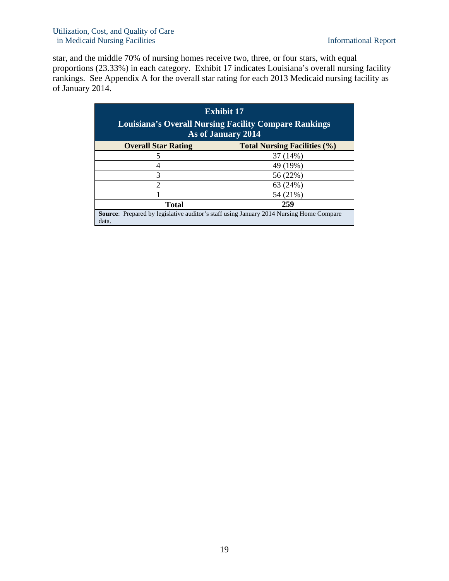star, and the middle 70% of nursing homes receive two, three, or four stars, with equal proportions (23.33%) in each category. Exhibit 17 indicates Louisiana's overall nursing facility rankings. See Appendix A for the overall star rating for each 2013 Medicaid nursing facility as of January 2014.

|                                                                                                         | <b>Exhibit 17</b><br><b>Louisiana's Overall Nursing Facility Compare Rankings</b><br>As of January 2014 |  |  |  |  |  |  |  |  |  |
|---------------------------------------------------------------------------------------------------------|---------------------------------------------------------------------------------------------------------|--|--|--|--|--|--|--|--|--|
| <b>Overall Star Rating</b>                                                                              | <b>Total Nursing Facilities (%)</b>                                                                     |  |  |  |  |  |  |  |  |  |
| 5                                                                                                       | 37 (14%)                                                                                                |  |  |  |  |  |  |  |  |  |
| 4                                                                                                       | 49 (19%)                                                                                                |  |  |  |  |  |  |  |  |  |
| 3                                                                                                       | 56 (22%)                                                                                                |  |  |  |  |  |  |  |  |  |
| 2                                                                                                       | 63 (24%)                                                                                                |  |  |  |  |  |  |  |  |  |
|                                                                                                         | 54 (21%)                                                                                                |  |  |  |  |  |  |  |  |  |
| <b>Total</b>                                                                                            | 259                                                                                                     |  |  |  |  |  |  |  |  |  |
| <b>Source:</b> Prepared by legislative auditor's staff using January 2014 Nursing Home Compare<br>data. |                                                                                                         |  |  |  |  |  |  |  |  |  |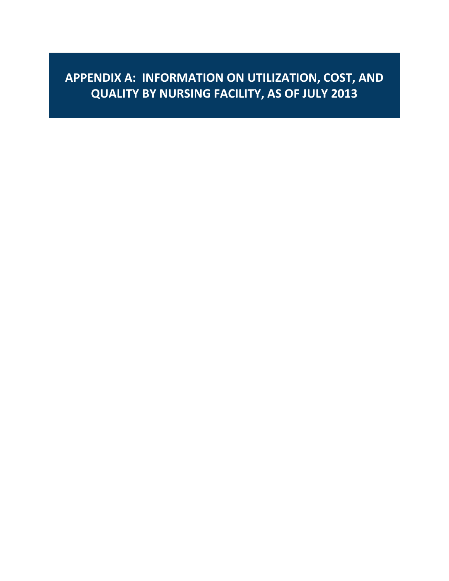**APPENDIX A: INFORMATION ON UTILIZATION, COST, AND QUALITY BY NURSING FACILITY, AS OF JULY 2013**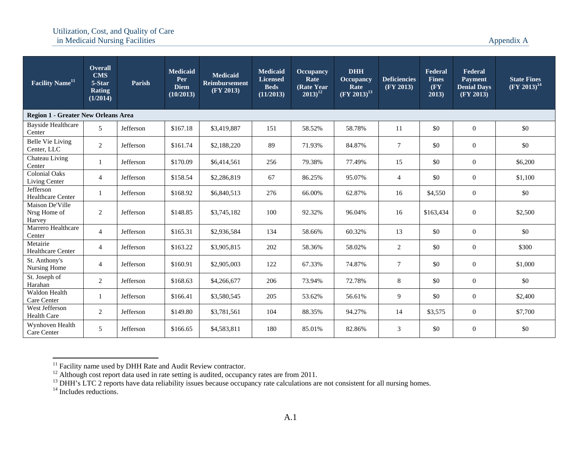| Facility Name <sup>11</sup>                | <b>Overall</b><br><b>CMS</b><br>5-Star<br><b>Rating</b><br>(1/2014) | Parish    | <b>Medicaid</b><br>Per<br><b>Diem</b><br>(10/2013) | <b>Medicaid</b><br><b>Reimbursement</b><br>(FY 2013) | <b>Medicaid</b><br><b>Licensed</b><br><b>Beds</b><br>(11/2013) | <b>Occupancy</b><br>Rate<br>(Rate Year)<br>$2013)^{12}$ | <b>DHH</b><br><b>Occupancy</b><br>Rate<br>$(FY 2013)^{13}$ | <b>Deficiencies</b><br>(FY 2013) | Federal<br><b>Fines</b><br>(FY<br>2013) | Federal<br><b>Payment</b><br><b>Denial Days</b><br>(FY 2013) | <b>State Fines</b><br>$(FY 2013)^{14}$ |
|--------------------------------------------|---------------------------------------------------------------------|-----------|----------------------------------------------------|------------------------------------------------------|----------------------------------------------------------------|---------------------------------------------------------|------------------------------------------------------------|----------------------------------|-----------------------------------------|--------------------------------------------------------------|----------------------------------------|
| <b>Region 1 - Greater New Orleans Area</b> |                                                                     |           |                                                    |                                                      |                                                                |                                                         |                                                            |                                  |                                         |                                                              |                                        |
| <b>Bayside Healthcare</b><br>Center        | 5                                                                   | Jefferson | \$167.18                                           | \$3,419,887                                          | 151                                                            | 58.52%                                                  | 58.78%                                                     | 11                               | \$0                                     | $\overline{0}$                                               | \$0                                    |
| <b>Belle Vie Living</b><br>Center, LLC     | $\overline{2}$                                                      | Jefferson | \$161.74                                           | \$2,188,220                                          | 89                                                             | 71.93%                                                  | 84.87%                                                     | $\overline{7}$                   | \$0                                     | $\overline{0}$                                               | \$0                                    |
| Chateau Living<br>Center                   |                                                                     | Jefferson | \$170.09                                           | \$6,414,561                                          | 256                                                            | 79.38%                                                  | 77.49%                                                     | 15                               | \$0                                     | $\mathbf{0}$                                                 | \$6,200                                |
| <b>Colonial Oaks</b><br>Living Center      | $\overline{4}$                                                      | Jefferson | \$158.54                                           | \$2,286,819                                          | 67                                                             | 86.25%                                                  | 95.07%                                                     | $\overline{4}$                   | \$0                                     | $\mathbf{0}$                                                 | \$1,100                                |
| Jefferson<br>Healthcare Center             |                                                                     | Jefferson | \$168.92                                           | \$6,840,513                                          | 276                                                            | 66.00%                                                  | 62.87%                                                     | 16                               | \$4,550                                 | $\mathbf{0}$                                                 | \$0                                    |
| Maison De'Ville<br>Nrsg Home of<br>Harvey  | $\overline{2}$                                                      | Jefferson | \$148.85                                           | \$3,745,182                                          | 100                                                            | 92.32%                                                  | 96.04%                                                     | 16                               | \$163,434                               | $\mathbf{0}$                                                 | \$2,500                                |
| Marrero Healthcare<br>Center               | $\overline{4}$                                                      | Jefferson | \$165.31                                           | \$2,936,584                                          | 134                                                            | 58.66%                                                  | 60.32%                                                     | 13                               | \$0                                     | $\overline{0}$                                               | \$0                                    |
| Metairie<br><b>Healthcare Center</b>       | $\overline{4}$                                                      | Jefferson | \$163.22                                           | \$3,905,815                                          | 202                                                            | 58.36%                                                  | 58.02%                                                     | 2                                | \$0                                     | $\overline{0}$                                               | \$300                                  |
| St. Anthony's<br>Nursing Home              | $\overline{4}$                                                      | Jefferson | \$160.91                                           | \$2,905,003                                          | 122                                                            | 67.33%                                                  | 74.87%                                                     | $7\phantom{.0}$                  | \$0                                     | $\overline{0}$                                               | \$1,000                                |
| St. Joseph of<br>Harahan                   | $\overline{2}$                                                      | Jefferson | \$168.63                                           | \$4,266,677                                          | 206                                                            | 73.94%                                                  | 72.78%                                                     | 8                                | \$0                                     | $\overline{0}$                                               | \$0                                    |
| Waldon Health<br>Care Center               |                                                                     | Jefferson | \$166.41                                           | \$3,580,545                                          | 205                                                            | 53.62%                                                  | 56.61%                                                     | 9                                | \$0                                     | $\overline{0}$                                               | \$2,400                                |
| West Jefferson<br><b>Health Care</b>       | 2                                                                   | Jefferson | \$149.80                                           | \$3,781,561                                          | 104                                                            | 88.35%                                                  | 94.27%                                                     | 14                               | \$3,575                                 | $\overline{0}$                                               | \$7,700                                |
| Wynhoven Health<br>Care Center             | 5                                                                   | Jefferson | \$166.65                                           | \$4,583,811                                          | 180                                                            | 85.01%                                                  | 82.86%                                                     | 3                                | \$0                                     | $\mathbf{0}$                                                 | \$0                                    |

 $11$  Facility name used by DHH Rate and Audit Review contractor.

 $12$  Although cost report data used in rate setting is audited, occupancy rates are from 2011.

<sup>&</sup>lt;sup>13</sup> DHH's LTC 2 reports have data reliability issues because occupancy rate calculations are not consistent for all nursing homes.

 $14$  Includes reductions.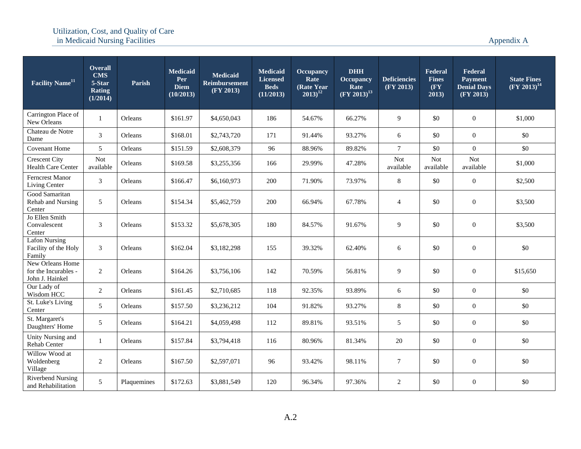| Facility Name <sup>11</sup>                                 | <b>Overall</b><br><b>CMS</b><br>5-Star<br><b>Rating</b><br>(1/2014) | Parish      | <b>Medicaid</b><br>Per<br><b>Diem</b><br>(10/2013) | <b>Medicaid</b><br><b>Reimbursement</b><br>(FY 2013) | <b>Medicaid</b><br><b>Licensed</b><br><b>Beds</b><br>(11/2013) | <b>Occupancy</b><br>Rate<br>(Rate Year)<br>$2013)^{12}$ | <b>DHH</b><br><b>Occupancy</b><br>Rate<br>$(FY 2013)^{13}$ | <b>Deficiencies</b><br>(FY 2013) | Federal<br><b>Fines</b><br>(FY)<br>2013) | Federal<br><b>Payment</b><br><b>Denial Days</b><br>(FY 2013) | <b>State Fines</b><br>$(\text{FY } 2013)^{14}$ |
|-------------------------------------------------------------|---------------------------------------------------------------------|-------------|----------------------------------------------------|------------------------------------------------------|----------------------------------------------------------------|---------------------------------------------------------|------------------------------------------------------------|----------------------------------|------------------------------------------|--------------------------------------------------------------|------------------------------------------------|
| Carrington Place of<br>New Orleans                          | $\mathbf{1}$                                                        | Orleans     | \$161.97                                           | \$4,650,043                                          | 186                                                            | 54.67%                                                  | 66.27%                                                     | $\overline{9}$                   | \$0                                      | $\boldsymbol{0}$                                             | \$1,000                                        |
| Chateau de Notre<br>Dame                                    | $\mathfrak{Z}$                                                      | Orleans     | \$168.01                                           | \$2,743,720                                          | 171                                                            | 91.44%                                                  | 93.27%                                                     | 6                                | \$0                                      | $\mathbf{0}$                                                 | \$0                                            |
| Covenant Home                                               | 5                                                                   | Orleans     | \$151.59                                           | \$2,608,379                                          | 96                                                             | 88.96%                                                  | 89.82%                                                     | $\overline{7}$                   | \$0                                      | $\theta$                                                     | \$0                                            |
| <b>Crescent City</b><br>Health Care Center                  | Not<br>available                                                    | Orleans     | \$169.58                                           | \$3,255,356                                          | 166                                                            | 29.99%                                                  | 47.28%                                                     | <b>Not</b><br>available          | <b>Not</b><br>available                  | <b>Not</b><br>available                                      | \$1,000                                        |
| <b>Ferncrest Manor</b><br>Living Center                     | $\mathfrak{Z}$                                                      | Orleans     | \$166.47                                           | \$6,160,973                                          | 200                                                            | 71.90%                                                  | 73.97%                                                     | $\,8\,$                          | \$0                                      | $\boldsymbol{0}$                                             | \$2,500                                        |
| Good Samaritan<br>Rehab and Nursing<br>Center               | 5                                                                   | Orleans     | \$154.34                                           | \$5,462,759                                          | 200                                                            | 66.94%                                                  | 67.78%                                                     | $\overline{4}$                   | \$0                                      | $\mathbf{0}$                                                 | \$3,500                                        |
| Jo Ellen Smith<br>Convalescent<br>Center                    | 3                                                                   | Orleans     | \$153.32                                           | \$5,678,305                                          | 180                                                            | 84.57%                                                  | 91.67%                                                     | 9                                | \$0                                      | $\overline{0}$                                               | \$3,500                                        |
| <b>Lafon Nursing</b><br>Facility of the Holy<br>Family      | $\mathfrak{Z}$                                                      | Orleans     | \$162.04                                           | \$3,182,298                                          | 155                                                            | 39.32%                                                  | 62.40%                                                     | 6                                | \$0                                      | $\boldsymbol{0}$                                             | \$0                                            |
| New Orleans Home<br>for the Incurables -<br>John J. Hainkel | $\overline{2}$                                                      | Orleans     | \$164.26                                           | \$3,756,106                                          | 142                                                            | 70.59%                                                  | 56.81%                                                     | 9                                | \$0                                      | $\overline{0}$                                               | \$15,650                                       |
| Our Lady of<br>Wisdom HCC                                   | 2                                                                   | Orleans     | \$161.45                                           | \$2,710,685                                          | 118                                                            | 92.35%                                                  | 93.89%                                                     | 6                                | \$0                                      | $\overline{0}$                                               | \$0                                            |
| St. Luke's Living<br>Center                                 | 5                                                                   | Orleans     | \$157.50                                           | \$3,236,212                                          | 104                                                            | 91.82%                                                  | 93.27%                                                     | 8                                | \$0                                      | $\boldsymbol{0}$                                             | \$0                                            |
| St. Margaret's<br>Daughters' Home                           | $5\overline{)}$                                                     | Orleans     | \$164.21                                           | \$4,059,498                                          | 112                                                            | 89.81%                                                  | 93.51%                                                     | 5                                | \$0                                      | $\overline{0}$                                               | \$0                                            |
| Unity Nursing and<br>Rehab Center                           | $\mathbf{1}$                                                        | Orleans     | \$157.84                                           | \$3,794,418                                          | 116                                                            | 80.96%                                                  | 81.34%                                                     | 20                               | \$0                                      | $\boldsymbol{0}$                                             | \$0                                            |
| Willow Wood at<br>Woldenberg<br>Village                     | 2                                                                   | Orleans     | \$167.50                                           | \$2,597,071                                          | 96                                                             | 93.42%                                                  | 98.11%                                                     | $7\phantom{.0}$                  | \$0                                      | $\overline{0}$                                               | \$0                                            |
| <b>Riverbend Nursing</b><br>and Rehabilitation              | $\mathfrak{F}$                                                      | Plaquemines | \$172.63                                           | \$3,881,549                                          | 120                                                            | 96.34%                                                  | 97.36%                                                     | 2                                | \$0                                      | $\boldsymbol{0}$                                             | \$0                                            |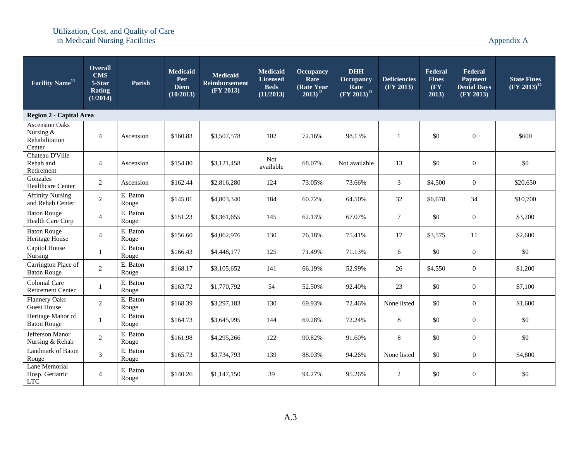| Facility Name <sup>11</sup>                                    | <b>Overall</b><br><b>CMS</b><br>5-Star<br><b>Rating</b><br>(1/2014) | Parish            | <b>Medicaid</b><br>Per<br><b>Diem</b><br>(10/2013) | <b>Medicaid</b><br><b>Reimbursement</b><br>(FY 2013) | <b>Medicaid</b><br><b>Licensed</b><br><b>Beds</b><br>(11/2013) | <b>Occupancy</b><br>Rate<br>(Rate Year)<br>$2013)^{12}$ | <b>DHH</b><br>Occupancy<br>Rate<br>$(FY 2013)^{13}$ | <b>Deficiencies</b><br>(FY 2013) | Federal<br><b>Fines</b><br>$(\mathbf{F}\mathbf{Y})$<br>2013) | Federal<br><b>Payment</b><br><b>Denial Days</b><br>(FY 2013) | <b>State Fines</b><br>$(FY 2013)^{14}$ |
|----------------------------------------------------------------|---------------------------------------------------------------------|-------------------|----------------------------------------------------|------------------------------------------------------|----------------------------------------------------------------|---------------------------------------------------------|-----------------------------------------------------|----------------------------------|--------------------------------------------------------------|--------------------------------------------------------------|----------------------------------------|
| Region 2 - Capital Area                                        |                                                                     |                   |                                                    |                                                      |                                                                |                                                         |                                                     |                                  |                                                              |                                                              |                                        |
| <b>Ascension Oaks</b><br>Nursing &<br>Rehabilitation<br>Center | $\overline{4}$                                                      | Ascension         | \$160.83                                           | \$3,507,578                                          | 102                                                            | 72.16%                                                  | 98.13%                                              | $\mathbf{1}$                     | \$0                                                          | $\boldsymbol{0}$                                             | \$600                                  |
| Chateau D'Ville<br>Rehab and<br>Retirement                     | $\overline{4}$                                                      | Ascension         | \$154.80                                           | \$3,121,458                                          | <b>Not</b><br>available                                        | 68.07%                                                  | Not available                                       | 13                               | \$0                                                          | $\overline{0}$                                               | \$0                                    |
| Gonzales<br>Healthcare Center                                  | $\overline{2}$                                                      | Ascension         | \$162.44                                           | \$2,816,280                                          | 124                                                            | 73.05%                                                  | 73.66%                                              | 3                                | \$4,500                                                      | $\overline{0}$                                               | \$20,650                               |
| <b>Affinity Nursing</b><br>and Rehab Center                    | $\overline{2}$                                                      | E. Baton<br>Rouge | \$145.01                                           | \$4,803,340                                          | 184                                                            | 60.72%                                                  | 64.50%                                              | 32                               | \$6,678                                                      | 34                                                           | \$10,700                               |
| <b>Baton Rouge</b><br>Health Care Corp                         | $\overline{4}$                                                      | E. Baton<br>Rouge | \$151.23                                           | \$3,361,655                                          | 145                                                            | 62.13%                                                  | 67.07%                                              | $\overline{7}$                   | \$0                                                          | $\theta$                                                     | \$3,200                                |
| <b>Baton Rouge</b><br>Heritage House                           | $\overline{4}$                                                      | E. Baton<br>Rouge | \$156.60                                           | \$4,062,976                                          | 130                                                            | 76.18%                                                  | 75.41%                                              | 17                               | \$3,575                                                      | 11                                                           | \$2,600                                |
| Capitol House<br>Nursing                                       | 1                                                                   | E. Baton<br>Rouge | \$166.43                                           | \$4,448,177                                          | 125                                                            | 71.49%                                                  | 71.13%                                              | 6                                | \$0                                                          | $\overline{0}$                                               | \$0                                    |
| Carrington Place of<br><b>Baton Rouge</b>                      | $\overline{c}$                                                      | E. Baton<br>Rouge | \$168.17                                           | \$3,105,652                                          | 141                                                            | 66.19%                                                  | 52.99%                                              | 26                               | \$4,550                                                      | $\mathbf{0}$                                                 | \$1,200                                |
| <b>Colonial Care</b><br><b>Retirement Center</b>               | 1                                                                   | E. Baton<br>Rouge | \$163.72                                           | \$1,770,792                                          | 54                                                             | 52.50%                                                  | 92.40%                                              | 23                               | \$0                                                          | $\overline{0}$                                               | \$7,100                                |
| <b>Flannery Oaks</b><br><b>Guest House</b>                     | $\overline{2}$                                                      | E. Baton<br>Rouge | \$168.39                                           | \$3,297,183                                          | 130                                                            | 69.93%                                                  | 72.46%                                              | None listed                      | \$0                                                          | $\mathbf{0}$                                                 | \$1,600                                |
| Heritage Manor of<br><b>Baton Rouge</b>                        | $\mathbf{1}$                                                        | E. Baton<br>Rouge | \$164.73                                           | \$3,645,995                                          | 144                                                            | 69.28%                                                  | 72.24%                                              | 8                                | \$0                                                          | $\boldsymbol{0}$                                             | \$0                                    |
| Jefferson Manor<br>Nursing & Rehab                             | $\overline{2}$                                                      | E. Baton<br>Rouge | \$161.98                                           | \$4,295,266                                          | 122                                                            | 90.82%                                                  | 91.60%                                              | 8                                | \$0                                                          | $\overline{0}$                                               | \$0                                    |
| Landmark of Baton<br>Rouge                                     | 3                                                                   | E. Baton<br>Rouge | \$165.73                                           | \$3,734,793                                          | 139                                                            | 88.03%                                                  | 94.26%                                              | None listed                      | \$0                                                          | $\overline{0}$                                               | \$4,800                                |
| Lane Memorial<br>Hosp. Geriatric<br><b>LTC</b>                 | $\overline{4}$                                                      | E. Baton<br>Rouge | \$140.26                                           | \$1,147,150                                          | 39                                                             | 94.27%                                                  | 95.26%                                              | 2                                | \$0                                                          | $\mathbf{0}$                                                 | \$0                                    |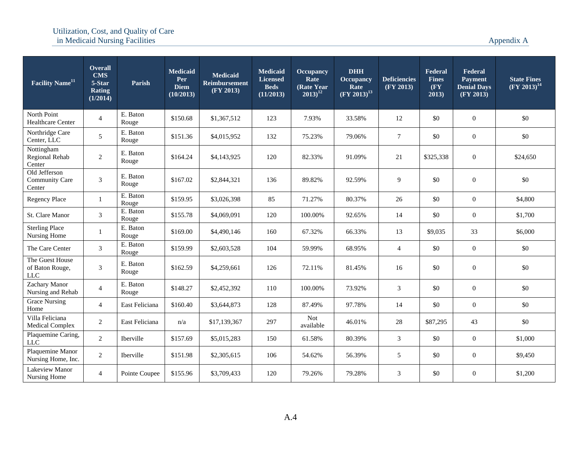| Facility Name <sup>11</sup>                        | Overall<br><b>CMS</b><br>5-Star<br><b>Rating</b><br>(1/2014) | Parish            | <b>Medicaid</b><br>Per<br><b>Diem</b><br>(10/2013) | <b>Medicaid</b><br><b>Reimbursement</b><br>(FY 2013) | <b>Medicaid</b><br><b>Licensed</b><br><b>Beds</b><br>(11/2013) | <b>Occupancy</b><br>Rate<br>(Rate Year<br>$2013)^{12}$ | <b>DHH</b><br><b>Occupancy</b><br>Rate<br>$(FY 2013)^{13}$ | <b>Deficiencies</b><br>(FY 2013) | Federal<br><b>Fines</b><br>$(\mathbf{F}\mathbf{Y})$<br>2013) | Federal<br>Payment<br><b>Denial Days</b><br>(FY 2013) | <b>State Fines</b><br>$(FY 2013)^{14}$ |
|----------------------------------------------------|--------------------------------------------------------------|-------------------|----------------------------------------------------|------------------------------------------------------|----------------------------------------------------------------|--------------------------------------------------------|------------------------------------------------------------|----------------------------------|--------------------------------------------------------------|-------------------------------------------------------|----------------------------------------|
| North Point<br><b>Healthcare Center</b>            | $\overline{4}$                                               | E. Baton<br>Rouge | \$150.68                                           | \$1,367,512                                          | 123                                                            | 7.93%                                                  | 33.58%                                                     | 12                               | \$0                                                          | $\boldsymbol{0}$                                      | \$0                                    |
| Northridge Care<br>Center, LLC                     | 5                                                            | E. Baton<br>Rouge | \$151.36                                           | \$4,015,952                                          | 132                                                            | 75.23%                                                 | 79.06%                                                     | $\tau$                           | \$0                                                          | $\mathbf{0}$                                          | \$0                                    |
| Nottingham<br>Regional Rehab<br>Center             | $\overline{2}$                                               | E. Baton<br>Rouge | \$164.24                                           | \$4,143,925                                          | 120                                                            | 82.33%                                                 | 91.09%                                                     | 21                               | \$325,338                                                    | $\overline{0}$                                        | \$24,650                               |
| Old Jefferson<br><b>Community Care</b><br>Center   | $\mathfrak{Z}$                                               | E. Baton<br>Rouge | \$167.02                                           | \$2,844,321                                          | 136                                                            | 89.82%                                                 | 92.59%                                                     | 9                                | \$0                                                          | $\boldsymbol{0}$                                      | \$0                                    |
| Regency Place                                      | $\mathbf{1}$                                                 | E. Baton<br>Rouge | \$159.95                                           | \$3,026,398                                          | 85                                                             | 71.27%                                                 | 80.37%                                                     | 26                               | \$0                                                          | $\boldsymbol{0}$                                      | \$4,800                                |
| St. Clare Manor                                    | 3                                                            | E. Baton<br>Rouge | \$155.78                                           | \$4,069,091                                          | 120                                                            | 100.00%                                                | 92.65%                                                     | 14                               | \$0                                                          | $\boldsymbol{0}$                                      | \$1,700                                |
| <b>Sterling Place</b><br>Nursing Home              | 1                                                            | E. Baton<br>Rouge | \$169.00                                           | \$4,490,146                                          | 160                                                            | 67.32%                                                 | 66.33%                                                     | 13                               | \$9,035                                                      | 33                                                    | \$6,000                                |
| The Care Center                                    | 3                                                            | E. Baton<br>Rouge | \$159.99                                           | \$2,603,528                                          | 104                                                            | 59.99%                                                 | 68.95%                                                     | $\overline{4}$                   | \$0                                                          | $\boldsymbol{0}$                                      | \$0                                    |
| The Guest House<br>of Baton Rouge,<br>$_{\rm LLC}$ | $\mathfrak{Z}$                                               | E. Baton<br>Rouge | \$162.59                                           | \$4,259,661                                          | 126                                                            | 72.11%                                                 | 81.45%                                                     | 16                               | \$0                                                          | $\mathbf{0}$                                          | \$0                                    |
| Zachary Manor<br>Nursing and Rehab                 | $\overline{4}$                                               | E. Baton<br>Rouge | \$148.27                                           | \$2,452,392                                          | 110                                                            | 100.00%                                                | 73.92%                                                     | 3                                | \$0                                                          | $\boldsymbol{0}$                                      | \$0                                    |
| <b>Grace Nursing</b><br>Home                       | $\overline{4}$                                               | East Feliciana    | \$160.40                                           | \$3,644,873                                          | 128                                                            | 87.49%                                                 | 97.78%                                                     | 14                               | \$0                                                          | $\overline{0}$                                        | \$0                                    |
| Villa Feliciana<br><b>Medical Complex</b>          | 2                                                            | East Feliciana    | n/a                                                | \$17,139,367                                         | 297                                                            | Not<br>available                                       | 46.01%                                                     | 28                               | \$87,295                                                     | 43                                                    | \$0                                    |
| Plaquemine Caring,<br><b>LLC</b>                   | $\overline{2}$                                               | <b>Iberville</b>  | \$157.69                                           | \$5,015,283                                          | 150                                                            | 61.58%                                                 | 80.39%                                                     | 3                                | \$0                                                          | $\overline{0}$                                        | \$1,000                                |
| Plaquemine Manor<br>Nursing Home, Inc.             | $\overline{2}$                                               | Iberville         | \$151.98                                           | \$2,305,615                                          | 106                                                            | 54.62%                                                 | 56.39%                                                     | 5                                | \$0                                                          | $\overline{0}$                                        | \$9,450                                |
| Lakeview Manor<br>Nursing Home                     | $\overline{4}$                                               | Pointe Coupee     | \$155.96                                           | \$3,709,433                                          | 120                                                            | 79.26%                                                 | 79.28%                                                     | 3                                | \$0                                                          | $\boldsymbol{0}$                                      | \$1,200                                |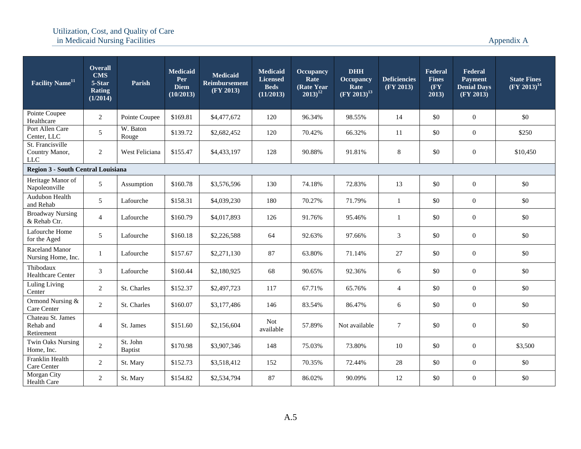| <b>Facility Name</b> <sup>11</sup>               | <b>Overall</b><br><b>CMS</b><br>5-Star<br>Rating<br>(1/2014) | Parish                     | <b>Medicaid</b><br>Per<br><b>Diem</b><br>(10/2013) | <b>Medicaid</b><br><b>Reimbursement</b><br>(FY 2013) | Medicaid<br><b>Licensed</b><br><b>Beds</b><br>(11/2013) | <b>Occupancy</b><br>Rate<br>(Rate Year)<br>$2013)^{12}$ | <b>DHH</b><br><b>Occupancy</b><br>Rate<br>$(FY 2013)^{13}$ | <b>Deficiencies</b><br>(FY 2013) | Federal<br><b>Fines</b><br>$(\mathbf{F}\mathbf{Y})$<br>2013) | Federal<br><b>Payment</b><br><b>Denial Days</b><br>(FY 2013) | <b>State Fines</b><br>$(FY 2013)^{14}$ |
|--------------------------------------------------|--------------------------------------------------------------|----------------------------|----------------------------------------------------|------------------------------------------------------|---------------------------------------------------------|---------------------------------------------------------|------------------------------------------------------------|----------------------------------|--------------------------------------------------------------|--------------------------------------------------------------|----------------------------------------|
| Pointe Coupee<br>Healthcare                      | $\overline{2}$                                               | Pointe Coupee              | \$169.81                                           | \$4,477,672                                          | 120                                                     | 96.34%                                                  | 98.55%                                                     | 14                               | \$0                                                          | $\mathbf{0}$                                                 | \$0                                    |
| Port Allen Care<br>Center, LLC                   | 5 <sup>5</sup>                                               | W. Baton<br>Rouge          | \$139.72                                           | \$2,682,452                                          | 120                                                     | 70.42%                                                  | 66.32%                                                     | 11                               | \$0                                                          | $\mathbf{0}$                                                 | \$250                                  |
| St. Francisville<br>Country Manor,<br><b>LLC</b> | $\overline{2}$                                               | West Feliciana             | \$155.47                                           | \$4,433,197                                          | 128                                                     | 90.88%                                                  | 91.81%                                                     | $\,8\,$                          | \$0                                                          | $\boldsymbol{0}$                                             | \$10,450                               |
| Region 3 - South Central Louisiana               |                                                              |                            |                                                    |                                                      |                                                         |                                                         |                                                            |                                  |                                                              |                                                              |                                        |
| Heritage Manor of<br>Napoleonville               | 5                                                            | Assumption                 | \$160.78                                           | \$3,576,596                                          | 130                                                     | 74.18%                                                  | 72.83%                                                     | 13                               | \$0                                                          | $\mathbf{0}$                                                 | \$0                                    |
| Audubon Health<br>and Rehab                      | 5 <sup>5</sup>                                               | Lafourche                  | \$158.31                                           | \$4,039,230                                          | 180                                                     | 70.27%                                                  | 71.79%                                                     | -1                               | \$0                                                          | $\mathbf{0}$                                                 | \$0                                    |
| <b>Broadway Nursing</b><br>& Rehab Ctr.          | $\overline{4}$                                               | Lafourche                  | \$160.79                                           | \$4,017,893                                          | 126                                                     | 91.76%                                                  | 95.46%                                                     | $\mathbf{1}$                     | \$0                                                          | $\boldsymbol{0}$                                             | \$0                                    |
| Lafourche Home<br>for the Aged                   | 5                                                            | Lafourche                  | \$160.18                                           | \$2,226,588                                          | 64                                                      | 92.63%                                                  | 97.66%                                                     | 3                                | \$0                                                          | $\mathbf{0}$                                                 | \$0                                    |
| <b>Raceland Manor</b><br>Nursing Home, Inc.      | $\mathbf{1}$                                                 | Lafourche                  | \$157.67                                           | \$2,271,130                                          | 87                                                      | 63.80%                                                  | 71.14%                                                     | 27                               | \$0                                                          | $\mathbf{0}$                                                 | \$0                                    |
| Thibodaux<br><b>Healthcare Center</b>            | $\mathfrak{Z}$                                               | Lafourche                  | \$160.44                                           | \$2,180,925                                          | 68                                                      | 90.65%                                                  | 92.36%                                                     | 6                                | \$0                                                          | $\mathbf{0}$                                                 | \$0                                    |
| <b>Luling Living</b><br>Center                   | $\overline{2}$                                               | St. Charles                | \$152.37                                           | \$2,497,723                                          | 117                                                     | 67.71%                                                  | 65.76%                                                     | $\overline{4}$                   | \$0                                                          | $\mathbf{0}$                                                 | \$0                                    |
| Ormond Nursing &<br>Care Center                  | $\overline{2}$                                               | St. Charles                | \$160.07                                           | \$3,177,486                                          | 146                                                     | 83.54%                                                  | 86.47%                                                     | $6\,$                            | \$0                                                          | $\boldsymbol{0}$                                             | \$0                                    |
| Chateau St. James<br>Rehab and<br>Retirement     | $\overline{4}$                                               | St. James                  | \$151.60                                           | \$2,156,604                                          | <b>Not</b><br>available                                 | 57.89%                                                  | Not available                                              | $\tau$                           | \$0                                                          | $\mathbf{0}$                                                 | \$0                                    |
| <b>Twin Oaks Nursing</b><br>Home, Inc.           | $\overline{2}$                                               | St. John<br><b>Baptist</b> | \$170.98                                           | \$3,907,346                                          | 148                                                     | 75.03%                                                  | 73.80%                                                     | 10                               | \$0                                                          | $\mathbf{0}$                                                 | \$3,500                                |
| Franklin Health<br>Care Center                   | $\overline{2}$                                               | St. Mary                   | \$152.73                                           | \$3,518,412                                          | 152                                                     | 70.35%                                                  | 72.44%                                                     | 28                               | \$0                                                          | $\mathbf{0}$                                                 | \$0                                    |
| Morgan City<br>Health Care                       | 2                                                            | St. Mary                   | \$154.82                                           | \$2,534,794                                          | 87                                                      | 86.02%                                                  | 90.09%                                                     | 12                               | \$0                                                          | $\overline{0}$                                               | \$0                                    |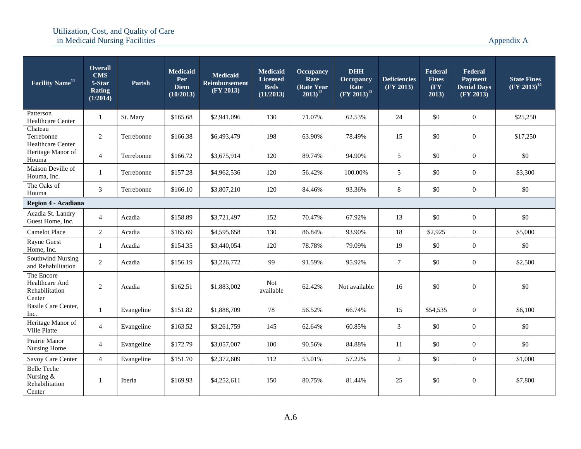| Facility Name <sup>11</sup>                                 | Overall<br><b>CMS</b><br>5-Star<br>Rating<br>(1/2014) | <b>Parish</b> | <b>Medicaid</b><br>Per<br><b>Diem</b><br>(10/2013) | <b>Medicaid</b><br><b>Reimbursement</b><br>(FY 2013) | <b>Medicaid</b><br><b>Licensed</b><br><b>Beds</b><br>(11/2013) | <b>Occupancy</b><br>Rate<br>(Rate Year<br>$2013)^{12}$ | <b>DHH</b><br><b>Occupancy</b><br>Rate<br>$(\overline{FY} 2013)^{13}$ | <b>Deficiencies</b><br>(FY 2013) | Federal<br><b>Fines</b><br>$(\mathbf{F}\mathbf{Y})$<br>2013) | Federal<br><b>Payment</b><br><b>Denial Days</b><br>(FY 2013) | <b>State Fines</b><br>$(FY 2013)^{14}$ |
|-------------------------------------------------------------|-------------------------------------------------------|---------------|----------------------------------------------------|------------------------------------------------------|----------------------------------------------------------------|--------------------------------------------------------|-----------------------------------------------------------------------|----------------------------------|--------------------------------------------------------------|--------------------------------------------------------------|----------------------------------------|
| Patterson<br>Healthcare Center                              | 1                                                     | St. Mary      | \$165.68                                           | \$2,941,096                                          | 130                                                            | 71.07%                                                 | 62.53%                                                                | 24                               | \$0                                                          | $\overline{0}$                                               | \$25,250                               |
| Chateau<br>Terrebonne<br>Healthcare Center                  | $\overline{2}$                                        | Terrebonne    | \$166.38                                           | \$6,493,479                                          | 198                                                            | 63.90%                                                 | 78.49%                                                                | 15                               | \$0                                                          | $\boldsymbol{0}$                                             | \$17,250                               |
| Heritage Manor of<br>Houma                                  | $\overline{4}$                                        | Terrebonne    | \$166.72                                           | \$3,675,914                                          | 120                                                            | 89.74%                                                 | 94.90%                                                                | 5                                | \$0                                                          | $\overline{0}$                                               | \$0                                    |
| Maison Deville of<br>Houma, Inc.                            | $\mathbf{1}$                                          | Terrebonne    | \$157.28                                           | \$4,962,536                                          | 120                                                            | 56.42%                                                 | 100.00%                                                               | 5                                | \$0                                                          | $\boldsymbol{0}$                                             | \$3,300                                |
| The Oaks of<br>Houma                                        | 3                                                     | Terrebonne    | \$166.10                                           | \$3,807,210                                          | 120                                                            | 84.46%                                                 | 93.36%                                                                | $\,8\,$                          | \$0                                                          | $\boldsymbol{0}$                                             | \$0                                    |
| Region 4 - Acadiana                                         |                                                       |               |                                                    |                                                      |                                                                |                                                        |                                                                       |                                  |                                                              |                                                              |                                        |
| Acadia St. Landry<br>Guest Home, Inc.                       | $\overline{4}$                                        | Acadia        | \$158.89                                           | \$3,721,497                                          | 152                                                            | 70.47%                                                 | 67.92%                                                                | 13                               | \$0                                                          | $\boldsymbol{0}$                                             | \$0                                    |
| <b>Camelot Place</b>                                        | $\overline{2}$                                        | Acadia        | \$165.69                                           | \$4,595,658                                          | 130                                                            | 86.84%                                                 | 93.90%                                                                | 18                               | \$2,925                                                      | $\overline{0}$                                               | \$5,000                                |
| Rayne Guest<br>Home, Inc.                                   | $\mathbf{1}$                                          | Acadia        | \$154.35                                           | \$3,440,054                                          | 120                                                            | 78.78%                                                 | 79.09%                                                                | 19                               | \$0                                                          | $\boldsymbol{0}$                                             | \$0                                    |
| Southwind Nursing<br>and Rehabilitation                     | 2                                                     | Acadia        | \$156.19                                           | \$3,226,772                                          | 99                                                             | 91.59%                                                 | 95.92%                                                                | $\tau$                           | \$0                                                          | $\boldsymbol{0}$                                             | \$2,500                                |
| The Encore<br>Healthcare And<br>Rehabilitation<br>Center    | $\overline{c}$                                        | Acadia        | \$162.51                                           | \$1,883,002                                          | <b>Not</b><br>available                                        | 62.42%                                                 | Not available                                                         | 16                               | \$0                                                          | $\boldsymbol{0}$                                             | \$0                                    |
| Basile Care Center,<br>Inc.                                 | $\mathbf{1}$                                          | Evangeline    | \$151.82                                           | \$1,888,709                                          | 78                                                             | 56.52%                                                 | 66.74%                                                                | 15                               | \$54,535                                                     | $\boldsymbol{0}$                                             | \$6,100                                |
| Heritage Manor of<br>Ville Platte                           | $\overline{4}$                                        | Evangeline    | \$163.52                                           | \$3,261,759                                          | 145                                                            | 62.64%                                                 | 60.85%                                                                | $\mathfrak{Z}$                   | \$0                                                          | $\boldsymbol{0}$                                             | \$0                                    |
| Prairie Manor<br>Nursing Home                               | $\overline{4}$                                        | Evangeline    | \$172.79                                           | \$3,057,007                                          | 100                                                            | 90.56%                                                 | 84.88%                                                                | 11                               | \$0                                                          | $\boldsymbol{0}$                                             | \$0                                    |
| Savoy Care Center                                           | $\overline{4}$                                        | Evangeline    | \$151.70                                           | \$2,372,609                                          | 112                                                            | 53.01%                                                 | 57.22%                                                                | 2                                | \$0                                                          | $\overline{0}$                                               | \$1,000                                |
| <b>Belle Teche</b><br>Nursing &<br>Rehabilitation<br>Center | 1                                                     | Iberia        | \$169.93                                           | \$4,252,611                                          | 150                                                            | 80.75%                                                 | 81.44%                                                                | 25                               | \$0                                                          | $\boldsymbol{0}$                                             | \$7,800                                |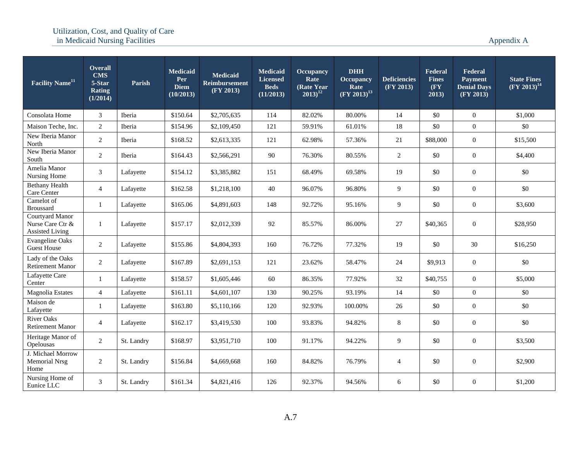| Facility Name <sup>11</sup>                                   | <b>Overall</b><br><b>CMS</b><br>5-Star<br><b>Rating</b><br>(1/2014) | Parish     | <b>Medicaid</b><br>Per<br><b>Diem</b><br>(10/2013) | <b>Medicaid</b><br><b>Reimbursement</b><br>(FY 2013) | <b>Medicaid</b><br><b>Licensed</b><br><b>Beds</b><br>(11/2013) | <b>Occupancy</b><br>Rate<br>(Rate Year)<br>$2013)^{12}$ | <b>DHH</b><br><b>Occupancy</b><br>Rate<br>$(\text{FY } 2013)^{13}$ | <b>Deficiencies</b><br>(FY 2013) | Federal<br><b>Fines</b><br>$(\mathbf{F}\mathbf{Y})$<br>2013) | Federal<br><b>Payment</b><br><b>Denial Days</b><br>(FY 2013) | <b>State Fines</b><br>$(\text{FY } 2013)^{14}$ |
|---------------------------------------------------------------|---------------------------------------------------------------------|------------|----------------------------------------------------|------------------------------------------------------|----------------------------------------------------------------|---------------------------------------------------------|--------------------------------------------------------------------|----------------------------------|--------------------------------------------------------------|--------------------------------------------------------------|------------------------------------------------|
| Consolata Home                                                | 3                                                                   | Iberia     | \$150.64                                           | \$2,705,635                                          | 114                                                            | 82.02%                                                  | 80.00%                                                             | 14                               | \$0                                                          | $\mathbf{0}$                                                 | \$1,000                                        |
| Maison Teche, Inc.                                            | $\overline{2}$                                                      | Iberia     | \$154.96                                           | \$2,109,450                                          | 121                                                            | 59.91%                                                  | 61.01%                                                             | 18                               | \$0                                                          | $\mathbf{0}$                                                 | \$0                                            |
| New Iberia Manor<br>North                                     | $\overline{2}$                                                      | Iberia     | \$168.52                                           | \$2,613,335                                          | 121                                                            | 62.98%                                                  | 57.36%                                                             | 21                               | \$88,000                                                     | $\theta$                                                     | \$15,500                                       |
| New Iberia Manor<br>South                                     | $\overline{2}$                                                      | Iberia     | \$164.43                                           | \$2,566,291                                          | 90                                                             | 76.30%                                                  | 80.55%                                                             | 2                                | \$0                                                          | $\overline{0}$                                               | \$4,400                                        |
| Amelia Manor<br>Nursing Home                                  | 3                                                                   | Lafayette  | \$154.12                                           | \$3,385,882                                          | 151                                                            | 68.49%                                                  | 69.58%                                                             | 19                               | \$0                                                          | $\overline{0}$                                               | \$0                                            |
| <b>Bethany Health</b><br>Care Center                          | $\overline{4}$                                                      | Lafayette  | \$162.58                                           | \$1,218,100                                          | 40                                                             | 96.07%                                                  | 96.80%                                                             | 9                                | \$0                                                          | $\boldsymbol{0}$                                             | \$0                                            |
| Camelot of<br><b>Broussard</b>                                | $\mathbf{1}$                                                        | Lafayette  | \$165.06                                           | \$4,891,603                                          | 148                                                            | 92.72%                                                  | 95.16%                                                             | 9                                | \$0                                                          | $\boldsymbol{0}$                                             | \$3,600                                        |
| Courtyard Manor<br>Nurse Care Ctr &<br><b>Assisted Living</b> | $\mathbf{1}$                                                        | Lafayette  | \$157.17                                           | \$2,012,339                                          | 92                                                             | 85.57%                                                  | 86.00%                                                             | 27                               | \$40,365                                                     | $\overline{0}$                                               | \$28,950                                       |
| <b>Evangeline Oaks</b><br><b>Guest House</b>                  | 2                                                                   | Lafayette  | \$155.86                                           | \$4,804,393                                          | 160                                                            | 76.72%                                                  | 77.32%                                                             | 19                               | \$0                                                          | 30                                                           | \$16,250                                       |
| Lady of the Oaks<br><b>Retirement Manor</b>                   | 2                                                                   | Lafayette  | \$167.89                                           | \$2,691,153                                          | 121                                                            | 23.62%                                                  | 58.47%                                                             | 24                               | \$9,913                                                      | $\overline{0}$                                               | \$0                                            |
| Lafayette Care<br>Center                                      | $\mathbf{1}$                                                        | Lafayette  | \$158.57                                           | \$1,605,446                                          | 60                                                             | 86.35%                                                  | 77.92%                                                             | 32                               | \$40,755                                                     | $\overline{0}$                                               | \$5,000                                        |
| Magnolia Estates                                              | $\overline{4}$                                                      | Lafayette  | \$161.11                                           | \$4,601,107                                          | 130                                                            | 90.25%                                                  | 93.19%                                                             | 14                               | \$0                                                          | $\theta$                                                     | \$0                                            |
| Maison de<br>Lafayette                                        | $\mathbf{1}$                                                        | Lafayette  | \$163.80                                           | \$5,110,166                                          | 120                                                            | 92.93%                                                  | 100.00%                                                            | 26                               | \$0                                                          | $\boldsymbol{0}$                                             | \$0                                            |
| <b>River Oaks</b><br><b>Retirement Manor</b>                  | $\overline{4}$                                                      | Lafayette  | \$162.17                                           | \$3,419,530                                          | 100                                                            | 93.83%                                                  | 94.82%                                                             | 8                                | \$0                                                          | $\overline{0}$                                               | \$0                                            |
| Heritage Manor of<br>Opelousas                                | 2                                                                   | St. Landry | \$168.97                                           | \$3,951,710                                          | 100                                                            | 91.17%                                                  | 94.22%                                                             | 9                                | \$0                                                          | $\overline{0}$                                               | \$3,500                                        |
| J. Michael Morrow<br><b>Memorial Nrsg</b><br>Home             | $\overline{2}$                                                      | St. Landry | \$156.84                                           | \$4,669,668                                          | 160                                                            | 84.82%                                                  | 76.79%                                                             | $\overline{4}$                   | \$0                                                          | $\mathbf{0}$                                                 | \$2,900                                        |
| Nursing Home of<br>Eunice LLC                                 | 3                                                                   | St. Landry | \$161.34                                           | \$4,821,416                                          | 126                                                            | 92.37%                                                  | 94.56%                                                             | 6                                | \$0                                                          | $\overline{0}$                                               | \$1,200                                        |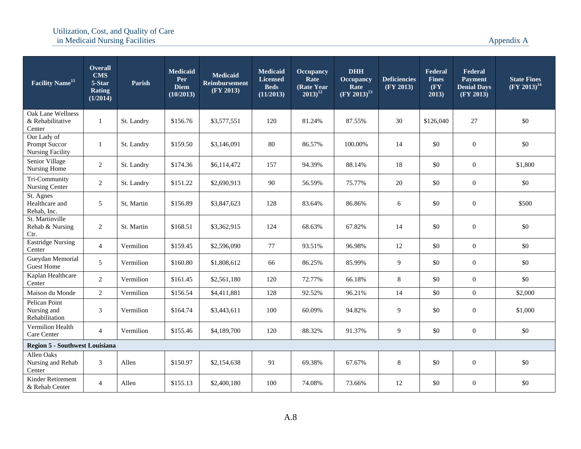| <b>Facility Name<sup>11</sup></b>                       | <b>Overall</b><br><b>CMS</b><br>5-Star<br><b>Rating</b><br>(1/2014) | <b>Parish</b> | <b>Medicaid</b><br>Per<br><b>Diem</b><br>(10/2013) | <b>Medicaid</b><br><b>Reimbursement</b><br>(FY 2013) | <b>Medicaid</b><br><b>Licensed</b><br><b>Beds</b><br>(11/2013) | <b>Occupancy</b><br>Rate<br>(Rate Year)<br>$2013)^{12}$ | <b>DHH</b><br><b>Occupancy</b><br>Rate<br>$(FY 2013)^{13}$ | <b>Deficiencies</b><br>(FY 2013) | Federal<br><b>Fines</b><br>$(\mathbf{F}\mathbf{Y})$<br>2013) | Federal<br>Payment<br><b>Denial Days</b><br>(FY 2013) | <b>State Fines</b><br>$(FY 2013)^{14}$ |
|---------------------------------------------------------|---------------------------------------------------------------------|---------------|----------------------------------------------------|------------------------------------------------------|----------------------------------------------------------------|---------------------------------------------------------|------------------------------------------------------------|----------------------------------|--------------------------------------------------------------|-------------------------------------------------------|----------------------------------------|
| Oak Lane Wellness<br>& Rehabilitative<br>Center         | $\mathbf{1}$                                                        | St. Landry    | \$156.76                                           | \$3,577,551                                          | 120                                                            | 81.24%                                                  | 87.55%                                                     | 30                               | \$126,040                                                    | 27                                                    | \$0                                    |
| Our Lady of<br>Prompt Succor<br><b>Nursing Facility</b> | $\mathbf{1}$                                                        | St. Landry    | \$159.50                                           | \$3,146,091                                          | 80                                                             | 86.57%                                                  | 100.00%                                                    | 14                               | \$0                                                          | $\boldsymbol{0}$                                      | \$0                                    |
| Senior Village<br>Nursing Home                          | $\overline{2}$                                                      | St. Landry    | \$174.36                                           | \$6,114,472                                          | 157                                                            | 94.39%                                                  | 88.14%                                                     | 18                               | \$0                                                          | $\boldsymbol{0}$                                      | \$1,800                                |
| Tri-Community<br>Nursing Center                         | $\overline{2}$                                                      | St. Landry    | \$151.22                                           | \$2,690,913                                          | 90                                                             | 56.59%                                                  | 75.77%                                                     | 20                               | \$0                                                          | $\boldsymbol{0}$                                      | \$0                                    |
| St. Agnes<br>Healthcare and<br>Rehab, Inc.              | 5                                                                   | St. Martin    | \$156.89                                           | \$3,847,623                                          | 128                                                            | 83.64%                                                  | 86.86%                                                     | 6                                | \$0                                                          | $\overline{0}$                                        | \$500                                  |
| St. Martinville<br>Rehab & Nursing<br>Ctr.              | 2                                                                   | St. Martin    | \$168.51                                           | \$3,362,915                                          | 124                                                            | 68.63%                                                  | 67.82%                                                     | 14                               | \$0                                                          | $\mathbf{0}$                                          | \$0                                    |
| <b>Eastridge Nursing</b><br>Center                      | $\overline{4}$                                                      | Vermilion     | \$159.45                                           | \$2,596,090                                          | 77                                                             | 93.51%                                                  | 96.98%                                                     | 12                               | \$0                                                          | $\mathbf{0}$                                          | \$0                                    |
| Gueydan Memorial<br><b>Guest Home</b>                   | 5                                                                   | Vermilion     | \$160.80                                           | \$1,808,612                                          | 66                                                             | 86.25%                                                  | 85.99%                                                     | 9                                | \$0                                                          | $\boldsymbol{0}$                                      | \$0                                    |
| Kaplan Healthcare<br>Center                             | $\overline{2}$                                                      | Vermilion     | \$161.45                                           | \$2,561,180                                          | 120                                                            | 72.77%                                                  | 66.18%                                                     | $\,8\,$                          | \$0                                                          | $\boldsymbol{0}$                                      | \$0                                    |
| Maison du Monde                                         | $\overline{2}$                                                      | Vermilion     | \$156.54                                           | \$4,411,881                                          | 128                                                            | 92.52%                                                  | 96.21%                                                     | 14                               | \$0                                                          | $\boldsymbol{0}$                                      | \$2,000                                |
| Pelican Point<br>Nursing and<br>Rehabilitation          | 3                                                                   | Vermilion     | \$164.74                                           | \$3,443,611                                          | 100                                                            | 60.09%                                                  | 94.82%                                                     | 9                                | \$0                                                          | $\boldsymbol{0}$                                      | \$1,000                                |
| Vermilion Health<br>Care Center                         | $\overline{4}$                                                      | Vermilion     | \$155.46                                           | \$4,189,700                                          | 120                                                            | 88.32%                                                  | 91.37%                                                     | 9                                | \$0                                                          | $\boldsymbol{0}$                                      | \$0                                    |
| <b>Region 5 - Southwest Louisiana</b>                   |                                                                     |               |                                                    |                                                      |                                                                |                                                         |                                                            |                                  |                                                              |                                                       |                                        |
| Allen Oaks<br>Nursing and Rehab<br>Center               | 3                                                                   | Allen         | \$150.97                                           | \$2,154,638                                          | 91                                                             | 69.38%                                                  | 67.67%                                                     | 8                                | \$0                                                          | $\boldsymbol{0}$                                      | \$0                                    |
| Kinder Retirement<br>& Rehab Center                     | $\overline{4}$                                                      | Allen         | \$155.13                                           | \$2,400,180                                          | 100                                                            | 74.08%                                                  | 73.66%                                                     | 12                               | \$0                                                          | $\overline{0}$                                        | \$0                                    |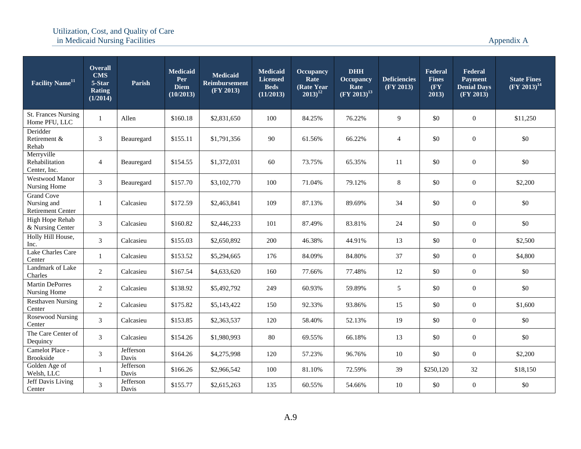| Facility Name <sup>11</sup>                                  | <b>Overall</b><br><b>CMS</b><br>5-Star<br><b>Rating</b><br>(1/2014) | Parish             | <b>Medicaid</b><br>Per<br><b>Diem</b><br>(10/2013) | <b>Medicaid</b><br><b>Reimbursement</b><br>(FY 2013) | Medicaid<br><b>Licensed</b><br><b>Beds</b><br>(11/2013) | <b>Occupancy</b><br>Rate<br>(Rate Year<br>$2013)^{12}$ | <b>DHH</b><br><b>Occupancy</b><br>Rate<br>$(\text{FY } 2013)^{13}$ | <b>Deficiencies</b><br>(FY 2013) | Federal<br><b>Fines</b><br>$(\mathbf{F}\mathbf{Y})$<br>2013) | Federal<br><b>Payment</b><br><b>Denial Days</b><br>(FY 2013) | <b>State Fines</b><br>$(FY 2013)^{14}$ |
|--------------------------------------------------------------|---------------------------------------------------------------------|--------------------|----------------------------------------------------|------------------------------------------------------|---------------------------------------------------------|--------------------------------------------------------|--------------------------------------------------------------------|----------------------------------|--------------------------------------------------------------|--------------------------------------------------------------|----------------------------------------|
| St. Frances Nursing<br>Home PFU, LLC                         | $\mathbf{1}$                                                        | Allen              | \$160.18                                           | \$2,831,650                                          | 100                                                     | 84.25%                                                 | 76.22%                                                             | 9                                | \$0                                                          | $\boldsymbol{0}$                                             | \$11,250                               |
| Deridder<br>Retirement &<br>Rehab                            | 3                                                                   | Beauregard         | \$155.11                                           | \$1,791,356                                          | 90                                                      | 61.56%                                                 | 66.22%                                                             | $\overline{4}$                   | \$0                                                          | $\mathbf{0}$                                                 | \$0                                    |
| Merryville<br>Rehabilitation<br>Center, Inc.                 | $\overline{4}$                                                      | Beauregard         | \$154.55                                           | \$1,372,031                                          | 60                                                      | 73.75%                                                 | 65.35%                                                             | 11                               | \$0                                                          | $\mathbf{0}$                                                 | \$0                                    |
| Westwood Manor<br>Nursing Home                               | $\mathfrak{Z}$                                                      | Beauregard         | \$157.70                                           | \$3,102,770                                          | 100                                                     | 71.04%                                                 | 79.12%                                                             | 8                                | \$0                                                          | $\mathbf{0}$                                                 | \$2,200                                |
| <b>Grand Cove</b><br>Nursing and<br><b>Retirement Center</b> | 1                                                                   | Calcasieu          | \$172.59                                           | \$2,463,841                                          | 109                                                     | 87.13%                                                 | 89.69%                                                             | 34                               | \$0                                                          | $\mathbf{0}$                                                 | \$0                                    |
| High Hope Rehab<br>& Nursing Center                          | $\mathfrak{Z}$                                                      | Calcasieu          | \$160.82                                           | \$2,446,233                                          | 101                                                     | 87.49%                                                 | 83.81%                                                             | 24                               | \$0                                                          | $\overline{0}$                                               | \$0                                    |
| Holly Hill House,<br>Inc.                                    | 3                                                                   | Calcasieu          | \$155.03                                           | \$2,650,892                                          | 200                                                     | 46.38%                                                 | 44.91%                                                             | 13                               | \$0                                                          | $\mathbf{0}$                                                 | \$2,500                                |
| Lake Charles Care<br>Center                                  | $\mathbf{1}$                                                        | Calcasieu          | \$153.52                                           | \$5,294,665                                          | 176                                                     | 84.09%                                                 | 84.80%                                                             | 37                               | \$0                                                          | $\overline{0}$                                               | \$4,800                                |
| Landmark of Lake<br>Charles                                  | $\overline{2}$                                                      | Calcasieu          | \$167.54                                           | \$4,633,620                                          | 160                                                     | 77.66%                                                 | 77.48%                                                             | 12                               | \$0                                                          | $\boldsymbol{0}$                                             | \$0                                    |
| <b>Martin DePorres</b><br>Nursing Home                       | 2                                                                   | Calcasieu          | \$138.92                                           | \$5,492,792                                          | 249                                                     | 60.93%                                                 | 59.89%                                                             | 5                                | \$0                                                          | $\overline{0}$                                               | \$0                                    |
| <b>Resthaven Nursing</b><br>Center                           | $\overline{2}$                                                      | Calcasieu          | \$175.82                                           | \$5,143,422                                          | 150                                                     | 92.33%                                                 | 93.86%                                                             | 15                               | \$0                                                          | $\boldsymbol{0}$                                             | \$1,600                                |
| <b>Rosewood Nursing</b><br>Center                            | $\mathfrak{Z}$                                                      | Calcasieu          | \$153.85                                           | \$2,363,537                                          | 120                                                     | 58.40%                                                 | 52.13%                                                             | 19                               | \$0                                                          | $\overline{0}$                                               | \$0                                    |
| The Care Center of<br>Dequincy                               | 3                                                                   | Calcasieu          | \$154.26                                           | \$1,980,993                                          | 80                                                      | 69.55%                                                 | 66.18%                                                             | 13                               | \$0                                                          | $\boldsymbol{0}$                                             | \$0                                    |
| Camelot Place -<br>Brookside                                 | $\mathfrak{Z}$                                                      | Jefferson<br>Davis | \$164.26                                           | \$4,275,998                                          | 120                                                     | 57.23%                                                 | 96.76%                                                             | 10                               | \$0                                                          | $\overline{0}$                                               | \$2,200                                |
| Golden Age of<br>Welsh, LLC                                  | $\mathbf{1}$                                                        | Jefferson<br>Davis | \$166.26                                           | \$2,966,542                                          | 100                                                     | 81.10%                                                 | 72.59%                                                             | 39                               | \$250,120                                                    | 32                                                           | \$18,150                               |
| <b>Jeff Davis Living</b><br>Center                           | 3                                                                   | Jefferson<br>Davis | \$155.77                                           | \$2,615,263                                          | 135                                                     | 60.55%                                                 | 54.66%                                                             | 10                               | \$0                                                          | $\boldsymbol{0}$                                             | \$0                                    |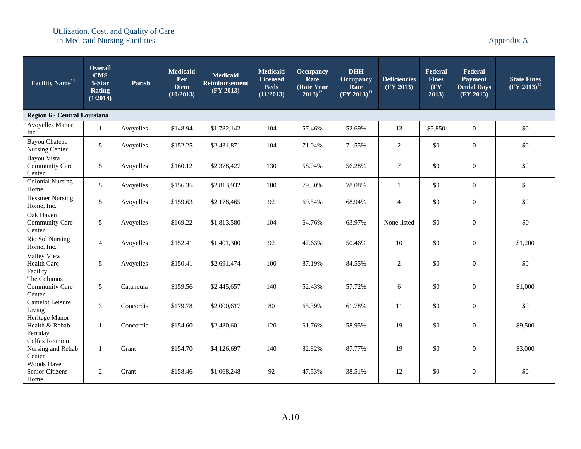| Facility Name <sup>11</sup>                          | <b>Overall</b><br><b>CMS</b><br>5-Star<br><b>Rating</b><br>(1/2014) | Parish    | <b>Medicaid</b><br>Per<br><b>Diem</b><br>(10/2013) | <b>Medicaid</b><br><b>Reimbursement</b><br>(FY 2013) | <b>Medicaid</b><br><b>Licensed</b><br><b>Beds</b><br>(11/2013) | <b>Occupancy</b><br>Rate<br>(Rate Year)<br>$2013)^{12}$ | <b>DHH</b><br>Occupancy<br>Rate<br>$(FY 2013)^{13}$ | <b>Deficiencies</b><br>(FY 2013) | Federal<br><b>Fines</b><br>$(\mathbf{F}\mathbf{Y})$<br>2013) | Federal<br><b>Payment</b><br><b>Denial Days</b><br>(FY 2013) | <b>State Fines</b><br>$(FY 2013)^{14}$ |
|------------------------------------------------------|---------------------------------------------------------------------|-----------|----------------------------------------------------|------------------------------------------------------|----------------------------------------------------------------|---------------------------------------------------------|-----------------------------------------------------|----------------------------------|--------------------------------------------------------------|--------------------------------------------------------------|----------------------------------------|
| Region 6 - Central Louisiana                         |                                                                     |           |                                                    |                                                      |                                                                |                                                         |                                                     |                                  |                                                              |                                                              |                                        |
| Avoyelles Manor,<br>Inc.                             |                                                                     | Avoyelles | \$148.94                                           | \$1,782,142                                          | 104                                                            | 57.46%                                                  | 52.69%                                              | 13                               | \$5,850                                                      | $\boldsymbol{0}$                                             | \$0                                    |
| Bayou Chateau<br>Nursing Center                      | 5                                                                   | Avoyelles | \$152.25                                           | \$2,431,871                                          | 104                                                            | 71.04%                                                  | 71.55%                                              | $\overline{c}$                   | \$0                                                          | $\boldsymbol{0}$                                             | \$0                                    |
| Bayou Vista<br>Community Care<br>Center              | 5                                                                   | Avoyelles | \$160.12                                           | \$2,378,427                                          | 130                                                            | 58.04%                                                  | 56.28%                                              | $\tau$                           | \$0                                                          | $\boldsymbol{0}$                                             | \$0                                    |
| <b>Colonial Nursing</b><br>Home                      | 5 <sup>5</sup>                                                      | Avoyelles | \$156.35                                           | \$2,813,932                                          | 100                                                            | 79.30%                                                  | 78.08%                                              | $\mathbf{1}$                     | \$0                                                          | $\boldsymbol{0}$                                             | \$0                                    |
| <b>Hessmer Nursing</b><br>Home, Inc.                 | 5                                                                   | Avoyelles | \$159.63                                           | \$2,178,465                                          | 92                                                             | 69.54%                                                  | 68.94%                                              | $\overline{4}$                   | \$0                                                          | $\boldsymbol{0}$                                             | \$0                                    |
| Oak Haven<br><b>Community Care</b><br>Center         | 5                                                                   | Avoyelles | \$169.22                                           | \$1,813,580                                          | 104                                                            | 64.76%                                                  | 63.97%                                              | None listed                      | \$0                                                          | $\boldsymbol{0}$                                             | \$0                                    |
| Rio Sol Nursing<br>Home, Inc.                        | $\overline{4}$                                                      | Avoyelles | \$152.41                                           | \$1,401,300                                          | 92                                                             | 47.63%                                                  | 50.46%                                              | 10                               | \$0                                                          | $\boldsymbol{0}$                                             | \$1,200                                |
| <b>Valley View</b><br><b>Health Care</b><br>Facility | 5                                                                   | Avoyelles | \$150.41                                           | \$2,691,474                                          | 100                                                            | 87.19%                                                  | 84.55%                                              | $\overline{2}$                   | \$0                                                          | $\boldsymbol{0}$                                             | \$0                                    |
| The Columns<br><b>Community Care</b><br>Center       | 5                                                                   | Catahoula | \$159.56                                           | \$2,445,657                                          | 140                                                            | 52.43%                                                  | 57.72%                                              | 6                                | \$0                                                          | $\boldsymbol{0}$                                             | \$1,000                                |
| <b>Camelot Leisure</b><br>Living                     | 3                                                                   | Concordia | \$179.78                                           | \$2,000,617                                          | 80                                                             | 65.39%                                                  | 61.78%                                              | 11                               | \$0                                                          | $\mathbf{0}$                                                 | \$0                                    |
| Heritage Manor<br>Health & Rehab<br>Ferriday         | $\mathbf{1}$                                                        | Concordia | \$154.60                                           | \$2,480,601                                          | 120                                                            | 61.76%                                                  | 58.95%                                              | 19                               | \$0                                                          | $\boldsymbol{0}$                                             | \$9,500                                |
| <b>Colfax Reunion</b><br>Nursing and Rehab<br>Center | $\mathbf{1}$                                                        | Grant     | \$154.70                                           | \$4,126,697                                          | 140                                                            | 82.82%                                                  | 87.77%                                              | 19                               | \$0                                                          | $\boldsymbol{0}$                                             | \$3,000                                |
| Woods Haven<br>Senior Citizens<br>Home               | 2                                                                   | Grant     | \$158.46                                           | \$1,068,248                                          | 92                                                             | 47.53%                                                  | 38.51%                                              | 12                               | \$0                                                          | $\overline{0}$                                               | \$0                                    |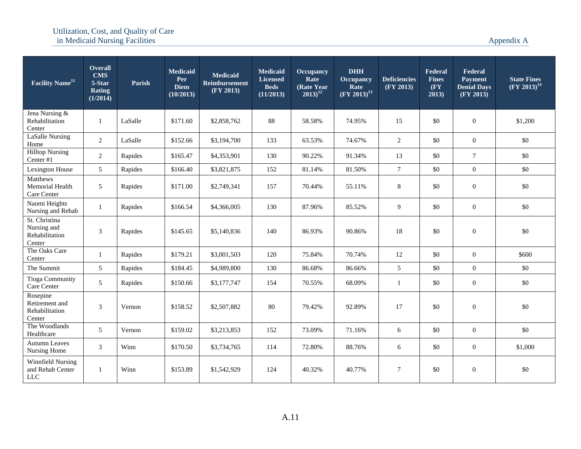| <b>Facility Name<sup>11</sup></b>                           | <b>Overall</b><br><b>CMS</b><br>5-Star<br><b>Rating</b><br>(1/2014) | Parish  | <b>Medicaid</b><br>Per<br><b>Diem</b><br>(10/2013) | <b>Medicaid</b><br><b>Reimbursement</b><br>(FY 2013) | <b>Medicaid</b><br><b>Licensed</b><br><b>Beds</b><br>(11/2013) | <b>Occupancy</b><br>Rate<br>(Rate Year)<br>$2013)^{12}$ | <b>DHH</b><br><b>Occupancy</b><br>Rate<br>$(FY 2013)^{13}$ | <b>Deficiencies</b><br>(FY 2013) | Federal<br><b>Fines</b><br>(FY<br>2013) | Federal<br><b>Payment</b><br><b>Denial Days</b><br>$\overline{\textbf{FY 2013}}$ | <b>State Fines</b><br>$(FY 2013)^{14}$ |
|-------------------------------------------------------------|---------------------------------------------------------------------|---------|----------------------------------------------------|------------------------------------------------------|----------------------------------------------------------------|---------------------------------------------------------|------------------------------------------------------------|----------------------------------|-----------------------------------------|----------------------------------------------------------------------------------|----------------------------------------|
| Jena Nursing &<br>Rehabilitation<br>Center                  | -1                                                                  | LaSalle | \$171.60                                           | \$2,858,762                                          | 88                                                             | 58.58%                                                  | 74.95%                                                     | 15                               | \$0                                     | $\boldsymbol{0}$                                                                 | \$1,200                                |
| LaSalle Nursing<br>Home                                     | $\overline{2}$                                                      | LaSalle | \$152.66                                           | \$3,194,700                                          | 133                                                            | 63.53%                                                  | 74.67%                                                     | $\overline{2}$                   | \$0                                     | $\mathbf{0}$                                                                     | \$0                                    |
| <b>Hilltop Nursing</b><br>Center #1                         | $\overline{2}$                                                      | Rapides | \$165.47                                           | \$4,353,901                                          | 130                                                            | 90.22%                                                  | 91.34%                                                     | 13                               | \$0                                     | $\tau$                                                                           | \$0                                    |
| Lexington House                                             | 5 <sup>5</sup>                                                      | Rapides | \$166.40                                           | \$3,821,875                                          | 152                                                            | 81.14%                                                  | 81.50%                                                     | $\tau$                           | \$0                                     | $\mathbf{0}$                                                                     | \$0                                    |
| Matthews<br>Memorial Health<br>Care Center                  | 5                                                                   | Rapides | \$171.00                                           | \$2,749,341                                          | 157                                                            | 70.44%                                                  | 55.11%                                                     | $\,8\,$                          | \$0                                     | $\boldsymbol{0}$                                                                 | \$0                                    |
| Naomi Heights<br>Nursing and Rehab                          | 1                                                                   | Rapides | \$166.54                                           | \$4,366,005                                          | 130                                                            | 87.96%                                                  | 85.52%                                                     | 9                                | \$0                                     | $\boldsymbol{0}$                                                                 | \$0                                    |
| St. Christina<br>Nursing and<br>Rehabilitation<br>Center    | 3                                                                   | Rapides | \$145.65                                           | \$5,140,836                                          | 140                                                            | 86.93%                                                  | 90.86%                                                     | 18                               | \$0                                     | $\boldsymbol{0}$                                                                 | \$0                                    |
| The Oaks Care<br>Center                                     | $\mathbf{1}$                                                        | Rapides | \$179.21                                           | \$3,001,503                                          | 120                                                            | 75.84%                                                  | 70.74%                                                     | 12                               | \$0                                     | $\overline{0}$                                                                   | \$600                                  |
| The Summit                                                  | 5 <sup>5</sup>                                                      | Rapides | \$184.45                                           | \$4,989,800                                          | 130                                                            | 86.68%                                                  | 86.66%                                                     | 5                                | \$0                                     | $\mathbf{0}$                                                                     | \$0                                    |
| <b>Tioga Community</b><br>Care Center                       | 5 <sup>5</sup>                                                      | Rapides | \$150.66                                           | \$3,177,747                                          | 154                                                            | 70.55%                                                  | 68.09%                                                     | -1                               | \$0                                     | $\boldsymbol{0}$                                                                 | \$0                                    |
| Rosepine<br>Retirement and<br>Rehabilitation<br>Center      | 3                                                                   | Vernon  | \$158.52                                           | \$2,507,882                                          | 80                                                             | 79.42%                                                  | 92.89%                                                     | 17                               | \$0                                     | $\boldsymbol{0}$                                                                 | \$0                                    |
| The Woodlands<br>Healthcare                                 | 5                                                                   | Vernon  | \$159.02                                           | \$3,213,853                                          | 152                                                            | 73.09%                                                  | 71.16%                                                     | 6                                | \$0                                     | $\mathbf{0}$                                                                     | \$0                                    |
| <b>Autumn Leaves</b><br>Nursing Home                        | $\mathfrak{Z}$                                                      | Winn    | \$170.50                                           | \$3,734,765                                          | 114                                                            | 72.80%                                                  | 88.76%                                                     | 6                                | \$0                                     | $\boldsymbol{0}$                                                                 | \$1,000                                |
| <b>Winnfield Nursing</b><br>and Rehab Center<br>${\rm LLC}$ | 1                                                                   | Winn    | \$153.89                                           | \$1,542,929                                          | 124                                                            | 40.32%                                                  | 40.77%                                                     | 7                                | \$0                                     | $\boldsymbol{0}$                                                                 | $\$0$                                  |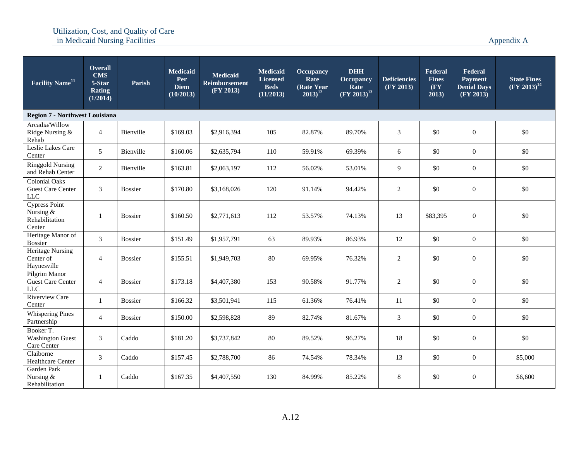| <b>Facility Name</b> <sup>11</sup>                              | Overall<br><b>CMS</b><br>5-Star<br><b>Rating</b><br>(1/2014) | Parish         | <b>Medicaid</b><br>Per<br><b>Diem</b><br>(10/2013) | <b>Medicaid</b><br><b>Reimbursement</b><br>(FY 2013) | <b>Medicaid</b><br><b>Licensed</b><br><b>Beds</b><br>(11/2013) | <b>Occupancy</b><br>Rate<br>(Rate Year)<br>$(2013)^{12}$ | <b>DHH</b><br>Occupancy<br>Rate<br>$(FY 2013)^{13}$ | <b>Deficiencies</b><br>(FY 2013) | Federal<br><b>Fines</b><br>(FY<br>2013) | Federal<br><b>Payment</b><br><b>Denial Days</b><br>(FY 2013) | <b>State Fines</b><br>$\sqrt{\mathrm{FY} 2013)^{14}}$ |
|-----------------------------------------------------------------|--------------------------------------------------------------|----------------|----------------------------------------------------|------------------------------------------------------|----------------------------------------------------------------|----------------------------------------------------------|-----------------------------------------------------|----------------------------------|-----------------------------------------|--------------------------------------------------------------|-------------------------------------------------------|
| <b>Region 7 - Northwest Louisiana</b>                           |                                                              |                |                                                    |                                                      |                                                                |                                                          |                                                     |                                  |                                         |                                                              |                                                       |
| Arcadia/Willow<br>Ridge Nursing &<br>Rehab                      | $\overline{4}$                                               | Bienville      | \$169.03                                           | \$2,916,394                                          | 105                                                            | 82.87%                                                   | 89.70%                                              | $\mathfrak{Z}$                   | \$0                                     | $\boldsymbol{0}$                                             | \$0                                                   |
| Leslie Lakes Care<br>Center                                     | 5 <sup>5</sup>                                               | Bienville      | \$160.06                                           | \$2,635,794                                          | 110                                                            | 59.91%                                                   | 69.39%                                              | 6                                | \$0                                     | $\boldsymbol{0}$                                             | \$0                                                   |
| <b>Ringgold Nursing</b><br>and Rehab Center                     | $\overline{2}$                                               | Bienville      | \$163.81                                           | \$2,063,197                                          | 112                                                            | 56.02%                                                   | 53.01%                                              | 9                                | \$0                                     | $\boldsymbol{0}$                                             | \$0                                                   |
| <b>Colonial Oaks</b><br><b>Guest Care Center</b><br>${\rm LLC}$ | 3                                                            | <b>Bossier</b> | \$170.80                                           | \$3,168,026                                          | 120                                                            | 91.14%                                                   | 94.42%                                              | 2                                | \$0                                     | $\boldsymbol{0}$                                             | \$0                                                   |
| Cypress Point<br>Nursing &<br>Rehabilitation<br>Center          | $\mathbf{1}$                                                 | <b>Bossier</b> | \$160.50                                           | \$2,771,613                                          | 112                                                            | 53.57%                                                   | 74.13%                                              | 13                               | \$83,395                                | $\boldsymbol{0}$                                             | \$0                                                   |
| Heritage Manor of<br><b>Bossier</b>                             | 3                                                            | <b>Bossier</b> | \$151.49                                           | \$1,957,791                                          | 63                                                             | 89.93%                                                   | 86.93%                                              | 12                               | \$0                                     | $\overline{0}$                                               | \$0                                                   |
| Heritage Nursing<br>Center of<br>Haynesville                    | $\overline{4}$                                               | <b>Bossier</b> | \$155.51                                           | \$1,949,703                                          | 80                                                             | 69.95%                                                   | 76.32%                                              | 2                                | \$0                                     | $\boldsymbol{0}$                                             | \$0                                                   |
| Pilgrim Manor<br><b>Guest Care Center</b><br>${\rm LLC}$        | $\overline{4}$                                               | <b>Bossier</b> | \$173.18                                           | \$4,407,380                                          | 153                                                            | 90.58%                                                   | 91.77%                                              | 2                                | \$0                                     | $\boldsymbol{0}$                                             | \$0                                                   |
| <b>Riverview Care</b><br>Center                                 | $\mathbf{1}$                                                 | <b>Bossier</b> | \$166.32                                           | \$3,501,941                                          | 115                                                            | 61.36%                                                   | 76.41%                                              | 11                               | \$0                                     | $\overline{0}$                                               | \$0                                                   |
| <b>Whispering Pines</b><br>Partnership                          | $\overline{4}$                                               | <b>Bossier</b> | \$150.00                                           | \$2,598,828                                          | 89                                                             | 82.74%                                                   | 81.67%                                              | $\mathfrak{Z}$                   | \$0                                     | $\boldsymbol{0}$                                             | \$0                                                   |
| Booker T.<br><b>Washington Guest</b><br>Care Center             | 3                                                            | Caddo          | \$181.20                                           | \$3,737,842                                          | 80                                                             | 89.52%                                                   | 96.27%                                              | 18                               | \$0                                     | $\boldsymbol{0}$                                             | \$0                                                   |
| Claiborne<br>Healthcare Center                                  | 3                                                            | Caddo          | \$157.45                                           | \$2,788,700                                          | 86                                                             | 74.54%                                                   | 78.34%                                              | 13                               | \$0                                     | $\boldsymbol{0}$                                             | \$5,000                                               |
| Garden Park<br>Nursing $&$<br>Rehabilitation                    | 1                                                            | Caddo          | \$167.35                                           | \$4,407,550                                          | 130                                                            | 84.99%                                                   | 85.22%                                              | 8                                | \$0                                     | $\boldsymbol{0}$                                             | \$6,600                                               |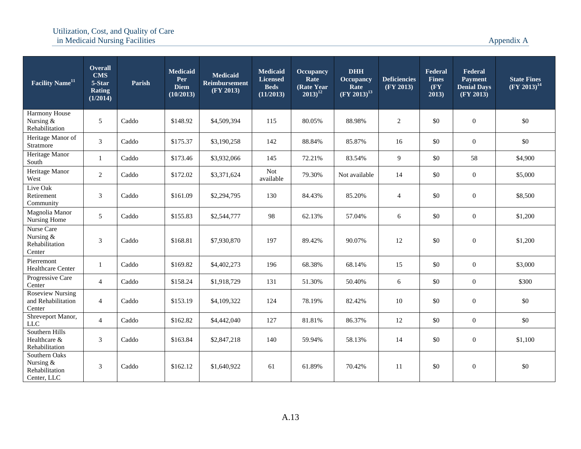| <b>Facility Name<sup>11</sup></b>                           | <b>Overall</b><br><b>CMS</b><br>5-Star<br><b>Rating</b><br>(1/2014) | Parish | <b>Medicaid</b><br>Per<br><b>Diem</b><br>(10/2013) | <b>Medicaid</b><br><b>Reimbursement</b><br>(FY 2013) | Medicaid<br><b>Licensed</b><br><b>Beds</b><br>(11/2013) | <b>Occupancy</b><br>Rate<br>(Rate Year)<br>$(2013)^{12}$ | <b>DHH</b><br><b>Occupancy</b><br>Rate<br>$(FY 2013)^{13}$ | <b>Deficiencies</b><br>(FY 2013) | Federal<br><b>Fines</b><br>(FY)<br>2013) | Federal<br><b>Payment</b><br><b>Denial Days</b><br>(FY 2013) | <b>State Fines</b><br>$(FY 2013)^{14}$ |
|-------------------------------------------------------------|---------------------------------------------------------------------|--------|----------------------------------------------------|------------------------------------------------------|---------------------------------------------------------|----------------------------------------------------------|------------------------------------------------------------|----------------------------------|------------------------------------------|--------------------------------------------------------------|----------------------------------------|
| Harmony House<br>Nursing &<br>Rehabilitation                | 5                                                                   | Caddo  | \$148.92                                           | \$4,509,394                                          | 115                                                     | 80.05%                                                   | 88.98%                                                     | 2                                | \$0                                      | $\boldsymbol{0}$                                             | \$0                                    |
| Heritage Manor of<br>Stratmore                              | $\mathfrak{Z}$                                                      | Caddo  | \$175.37                                           | \$3,190,258                                          | 142                                                     | 88.84%                                                   | 85.87%                                                     | 16                               | \$0                                      | $\boldsymbol{0}$                                             | \$0                                    |
| Heritage Manor<br>South                                     | $\mathbf{1}$                                                        | Caddo  | \$173.46                                           | \$3,932,066                                          | 145                                                     | 72.21%                                                   | 83.54%                                                     | 9                                | \$0                                      | 58                                                           | \$4,900                                |
| Heritage Manor<br>West                                      | $\overline{2}$                                                      | Caddo  | \$172.02                                           | \$3,371,624                                          | Not<br>available                                        | 79.30%                                                   | Not available                                              | 14                               | \$0                                      | $\boldsymbol{0}$                                             | \$5,000                                |
| Live Oak<br>Retirement<br>Community                         | 3                                                                   | Caddo  | \$161.09                                           | \$2,294,795                                          | 130                                                     | 84.43%                                                   | 85.20%                                                     | $\overline{4}$                   | \$0                                      | $\boldsymbol{0}$                                             | \$8,500                                |
| Magnolia Manor<br>Nursing Home                              | 5                                                                   | Caddo  | \$155.83                                           | \$2,544,777                                          | 98                                                      | 62.13%                                                   | 57.04%                                                     | 6                                | \$0                                      | $\boldsymbol{0}$                                             | \$1,200                                |
| Nurse Care<br>Nursing &<br>Rehabilitation<br>Center         | 3                                                                   | Caddo  | \$168.81                                           | \$7,930,870                                          | 197                                                     | 89.42%                                                   | 90.07%                                                     | 12                               | \$0                                      | $\boldsymbol{0}$                                             | \$1,200                                |
| Pierremont<br>Healthcare Center                             | -1                                                                  | Caddo  | \$169.82                                           | \$4,402,273                                          | 196                                                     | 68.38%                                                   | 68.14%                                                     | 15                               | \$0                                      | $\boldsymbol{0}$                                             | \$3,000                                |
| Progressive Care<br>Center                                  | $\overline{4}$                                                      | Caddo  | \$158.24                                           | \$1,918,729                                          | 131                                                     | 51.30%                                                   | 50.40%                                                     | 6                                | \$0                                      | $\boldsymbol{0}$                                             | \$300                                  |
| <b>Roseview Nursing</b><br>and Rehabilitation<br>Center     | $\overline{4}$                                                      | Caddo  | \$153.19                                           | \$4,109,322                                          | 124                                                     | 78.19%                                                   | 82.42%                                                     | 10                               | \$0                                      | $\boldsymbol{0}$                                             | \$0                                    |
| Shreveport Manor,<br>${\rm LLC}$                            | $\overline{4}$                                                      | Caddo  | \$162.82                                           | \$4,442,040                                          | 127                                                     | 81.81%                                                   | 86.37%                                                     | 12                               | \$0                                      | $\mathbf{0}$                                                 | \$0                                    |
| Southern Hills<br>Healthcare &<br>Rehabilitation            | 3                                                                   | Caddo  | \$163.84                                           | \$2,847,218                                          | 140                                                     | 59.94%                                                   | 58.13%                                                     | 14                               | \$0                                      | $\boldsymbol{0}$                                             | \$1,100                                |
| Southern Oaks<br>Nursing &<br>Rehabilitation<br>Center, LLC | 3                                                                   | Caddo  | \$162.12                                           | \$1,640,922                                          | 61                                                      | 61.89%                                                   | 70.42%                                                     | 11                               | \$0                                      | $\boldsymbol{0}$                                             | \$0                                    |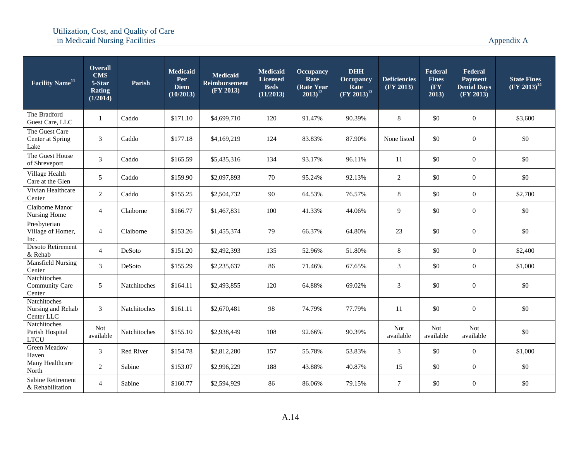| <b>Facility Name</b> <sup>11</sup>              | <b>Overall</b><br><b>CMS</b><br>5-Star<br>Rating<br>(1/2014) | Parish       | <b>Medicaid</b><br>Per<br><b>Diem</b><br>(10/2013) | <b>Medicaid</b><br><b>Reimbursement</b><br>(FY 2013) | Medicaid<br><b>Licensed</b><br><b>Beds</b><br>(11/2013) | <b>Occupancy</b><br>Rate<br>(Rate Year<br>$2013)^{12}$ | <b>DHH</b><br><b>Occupancy</b><br>Rate<br>$(FY 2013)^{13}$ | <b>Deficiencies</b><br>(FY 2013) | Federal<br><b>Fines</b><br>$(\mathbf{F}\mathbf{Y})$<br>2013) | Federal<br><b>Payment</b><br><b>Denial Days</b><br>(FY 2013) | <b>State Fines</b><br>$(FY 2013)^{14}$ |
|-------------------------------------------------|--------------------------------------------------------------|--------------|----------------------------------------------------|------------------------------------------------------|---------------------------------------------------------|--------------------------------------------------------|------------------------------------------------------------|----------------------------------|--------------------------------------------------------------|--------------------------------------------------------------|----------------------------------------|
| The Bradford<br>Guest Care, LLC                 | -1                                                           | Caddo        | \$171.10                                           | \$4,699,710                                          | 120                                                     | 91.47%                                                 | 90.39%                                                     | 8                                | \$0                                                          | $\mathbf{0}$                                                 | \$3,600                                |
| The Guest Care<br>Center at Spring<br>Lake      | $\mathfrak{Z}$                                               | Caddo        | \$177.18                                           | \$4,169,219                                          | 124                                                     | 83.83%                                                 | 87.90%                                                     | None listed                      | \$0                                                          | $\mathbf{0}$                                                 | \$0                                    |
| The Guest House<br>of Shreveport                | 3                                                            | Caddo        | \$165.59                                           | \$5,435,316                                          | 134                                                     | 93.17%                                                 | 96.11%                                                     | 11                               | \$0                                                          | $\overline{0}$                                               | \$0                                    |
| Village Health<br>Care at the Glen              | 5                                                            | Caddo        | \$159.90                                           | \$2,097,893                                          | 70                                                      | 95.24%                                                 | 92.13%                                                     | 2                                | \$0                                                          | $\mathbf{0}$                                                 | \$0                                    |
| Vivian Healthcare<br>Center                     | $\overline{2}$                                               | Caddo        | \$155.25                                           | \$2,504,732                                          | 90                                                      | 64.53%                                                 | 76.57%                                                     | $\,8\,$                          | \$0                                                          | $\overline{0}$                                               | \$2,700                                |
| Claiborne Manor<br>Nursing Home                 | $\overline{4}$                                               | Claiborne    | \$166.77                                           | \$1,467,831                                          | 100                                                     | 41.33%                                                 | 44.06%                                                     | 9                                | \$0                                                          | $\boldsymbol{0}$                                             | \$0                                    |
| Presbyterian<br>Village of Homer,<br>Inc.       | $\overline{4}$                                               | Claiborne    | \$153.26                                           | \$1,455,374                                          | 79                                                      | 66.37%                                                 | 64.80%                                                     | 23                               | \$0                                                          | $\mathbf{0}$                                                 | \$0                                    |
| <b>Desoto Retirement</b><br>& Rehab             | $\overline{4}$                                               | DeSoto       | \$151.20                                           | \$2,492,393                                          | 135                                                     | 52.96%                                                 | 51.80%                                                     | 8                                | \$0                                                          | $\mathbf{0}$                                                 | \$2,400                                |
| <b>Mansfield Nursing</b><br>Center              | 3                                                            | DeSoto       | \$155.29                                           | \$2,235,637                                          | 86                                                      | 71.46%                                                 | 67.65%                                                     | 3                                | \$0                                                          | $\boldsymbol{0}$                                             | \$1,000                                |
| Natchitoches<br>Community Care<br>Center        | 5                                                            | Natchitoches | \$164.11                                           | \$2,493,855                                          | 120                                                     | 64.88%                                                 | 69.02%                                                     | 3                                | \$0                                                          | $\mathbf{0}$                                                 | \$0                                    |
| Natchitoches<br>Nursing and Rehab<br>Center LLC | 3                                                            | Natchitoches | \$161.11                                           | \$2,670,481                                          | 98                                                      | 74.79%                                                 | 77.79%                                                     | 11                               | \$0                                                          | $\mathbf{0}$                                                 | \$0                                    |
| Natchitoches<br>Parish Hospital<br><b>LTCU</b>  | <b>Not</b><br>available                                      | Natchitoches | \$155.10                                           | \$2,938,449                                          | 108                                                     | 92.66%                                                 | 90.39%                                                     | Not<br>available                 | <b>Not</b><br>available                                      | Not<br>available                                             | \$0                                    |
| <b>Green Meadow</b><br>Haven                    | 3                                                            | Red River    | \$154.78                                           | \$2,812,280                                          | 157                                                     | 55.78%                                                 | 53.83%                                                     | 3                                | \$0                                                          | $\boldsymbol{0}$                                             | \$1,000                                |
| Many Healthcare<br>North                        | $\overline{2}$                                               | Sabine       | \$153.07                                           | \$2,996,229                                          | 188                                                     | 43.88%                                                 | 40.87%                                                     | 15                               | \$0                                                          | $\boldsymbol{0}$                                             | \$0                                    |
| Sabine Retirement<br>& Rehabilitation           | $\overline{4}$                                               | Sabine       | \$160.77                                           | \$2,594,929                                          | 86                                                      | 86.06%                                                 | 79.15%                                                     | $\tau$                           | \$0                                                          | $\boldsymbol{0}$                                             | \$0                                    |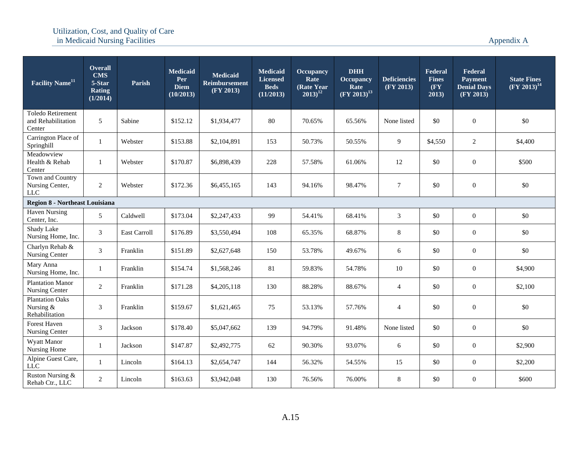| <b>Facility Name<sup>11</sup></b>                     | <b>Overall</b><br><b>CMS</b><br>5-Star<br><b>Rating</b><br>(1/2014) | Parish       | <b>Medicaid</b><br>Per<br><b>Diem</b><br>(10/2013) | <b>Medicaid</b><br><b>Reimbursement</b><br>(FY 2013) | <b>Medicaid</b><br><b>Licensed</b><br><b>Beds</b><br>(11/2013) | <b>Occupancy</b><br>Rate<br>(Rate Year)<br>$2013)^{12}$ | <b>DHH</b><br><b>Occupancy</b><br>Rate<br>$(FY 2013)^{13}$ | <b>Deficiencies</b><br>(FY 2013) | Federal<br><b>Fines</b><br>(FY)<br>2013) | Federal<br><b>Payment</b><br><b>Denial Days</b><br>(FY 2013) | <b>State Fines</b><br>$(FY 2013)^{14}$ |
|-------------------------------------------------------|---------------------------------------------------------------------|--------------|----------------------------------------------------|------------------------------------------------------|----------------------------------------------------------------|---------------------------------------------------------|------------------------------------------------------------|----------------------------------|------------------------------------------|--------------------------------------------------------------|----------------------------------------|
| Toledo Retirement<br>and Rehabilitation<br>Center     | 5                                                                   | Sabine       | \$152.12                                           | \$1,934,477                                          | 80                                                             | 70.65%                                                  | 65.56%                                                     | None listed                      | \$0                                      | $\boldsymbol{0}$                                             | \$0                                    |
| Carrington Place of<br>Springhill                     | 1                                                                   | Webster      | \$153.88                                           | \$2,104,891                                          | 153                                                            | 50.73%                                                  | 50.55%                                                     | 9                                | \$4,550                                  | 2                                                            | \$4,400                                |
| Meadowview<br>Health & Rehab<br>Center                | $\mathbf{1}$                                                        | Webster      | \$170.87                                           | \$6,898,439                                          | 228                                                            | 57.58%                                                  | 61.06%                                                     | 12                               | \$0                                      | $\boldsymbol{0}$                                             | \$500                                  |
| Town and Country<br>Nursing Center,<br>${\rm LLC}$    | $\overline{2}$                                                      | Webster      | \$172.36                                           | \$6,455,165                                          | 143                                                            | 94.16%                                                  | 98.47%                                                     | 7                                | \$0                                      | $\boldsymbol{0}$                                             | \$0                                    |
| <b>Region 8 - Northeast Louisiana</b>                 |                                                                     |              |                                                    |                                                      |                                                                |                                                         |                                                            |                                  |                                          |                                                              |                                        |
| <b>Haven Nursing</b><br>Center, Inc.                  | 5                                                                   | Caldwell     | \$173.04                                           | \$2,247,433                                          | 99                                                             | 54.41%                                                  | 68.41%                                                     | $\mathfrak{Z}$                   | \$0                                      | $\boldsymbol{0}$                                             | \$0                                    |
| Shady Lake<br>Nursing Home, Inc.                      | $\mathfrak{Z}$                                                      | East Carroll | \$176.89                                           | \$3,550,494                                          | 108                                                            | 65.35%                                                  | 68.87%                                                     | $8\,$                            | \$0                                      | $\boldsymbol{0}$                                             | \$0                                    |
| Charlyn Rehab &<br>Nursing Center                     | $\mathfrak{Z}$                                                      | Franklin     | \$151.89                                           | \$2,627,648                                          | 150                                                            | 53.78%                                                  | 49.67%                                                     | 6                                | \$0                                      | $\boldsymbol{0}$                                             | \$0                                    |
| Mary Anna<br>Nursing Home, Inc.                       | 1                                                                   | Franklin     | \$154.74                                           | \$1,568,246                                          | 81                                                             | 59.83%                                                  | 54.78%                                                     | 10                               | \$0                                      | $\boldsymbol{0}$                                             | \$4,900                                |
| <b>Plantation Manor</b><br>Nursing Center             | $\overline{2}$                                                      | Franklin     | \$171.28                                           | \$4,205,118                                          | 130                                                            | 88.28%                                                  | 88.67%                                                     | $\overline{4}$                   | \$0                                      | $\boldsymbol{0}$                                             | \$2,100                                |
| <b>Plantation Oaks</b><br>Nursing &<br>Rehabilitation | $\mathfrak{Z}$                                                      | Franklin     | \$159.67                                           | \$1,621,465                                          | 75                                                             | 53.13%                                                  | 57.76%                                                     | $\overline{4}$                   | \$0                                      | $\boldsymbol{0}$                                             | \$0                                    |
| Forest Haven<br>Nursing Center                        | 3                                                                   | Jackson      | \$178.40                                           | \$5,047,662                                          | 139                                                            | 94.79%                                                  | 91.48%                                                     | None listed                      | \$0                                      | $\boldsymbol{0}$                                             | \$0                                    |
| Wyatt Manor<br>Nursing Home                           |                                                                     | Jackson      | \$147.87                                           | \$2,492,775                                          | 62                                                             | 90.30%                                                  | 93.07%                                                     | 6                                | \$0                                      | $\boldsymbol{0}$                                             | \$2,900                                |
| Alpine Guest Care,<br>LLC                             | 1                                                                   | Lincoln      | \$164.13                                           | \$2,654,747                                          | 144                                                            | 56.32%                                                  | 54.55%                                                     | 15                               | $\$0$                                    | $\boldsymbol{0}$                                             | \$2,200                                |
| Ruston Nursing &<br>Rehab Ctr., LLC                   | $\overline{2}$                                                      | Lincoln      | \$163.63                                           | \$3,942,048                                          | 130                                                            | 76.56%                                                  | 76.00%                                                     | $8\,$                            | \$0                                      | $\boldsymbol{0}$                                             | \$600                                  |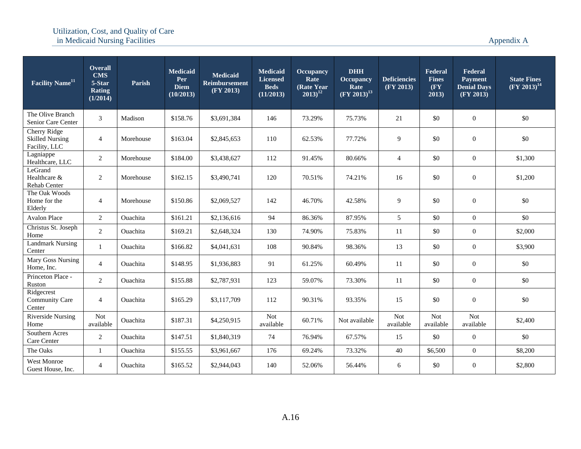| Facility Name <sup>11</sup>                                    | <b>Overall</b><br><b>CMS</b><br>5-Star<br><b>Rating</b><br>(1/2014) | Parish          | <b>Medicaid</b><br>Per<br><b>Diem</b><br>(10/2013) | <b>Medicaid</b><br><b>Reimbursement</b><br>(FY 2013) | <b>Medicaid</b><br><b>Licensed</b><br><b>Beds</b><br>(11/2013) | <b>Occupancy</b><br>Rate<br>(Rate Year)<br>$(2013)^{12}$ | <b>DHH</b><br><b>Occupancy</b><br>Rate<br>$(FY 2013)^{13}$ | <b>Deficiencies</b><br>(FY 2013) | <b>Federal</b><br><b>Fines</b><br>(FY)<br>2013) | Federal<br><b>Payment</b><br><b>Denial Days</b><br>(FY 2013) | <b>State Fines</b><br>$(FY 2013)^{14}$ |
|----------------------------------------------------------------|---------------------------------------------------------------------|-----------------|----------------------------------------------------|------------------------------------------------------|----------------------------------------------------------------|----------------------------------------------------------|------------------------------------------------------------|----------------------------------|-------------------------------------------------|--------------------------------------------------------------|----------------------------------------|
| The Olive Branch<br>Senior Care Center                         | 3                                                                   | Madison         | \$158.76                                           | \$3,691,384                                          | 146                                                            | 73.29%                                                   | 75.73%                                                     | 21                               | \$0                                             | $\overline{0}$                                               | \$0                                    |
| <b>Cherry Ridge</b><br><b>Skilled Nursing</b><br>Facility, LLC | $\overline{4}$                                                      | Morehouse       | \$163.04                                           | \$2,845,653                                          | 110                                                            | 62.53%                                                   | 77.72%                                                     | 9                                | \$0                                             | $\overline{0}$                                               | \$0                                    |
| Lagniappe<br>Healthcare, LLC                                   | $\overline{2}$                                                      | Morehouse       | \$184.00                                           | \$3,438,627                                          | 112                                                            | 91.45%                                                   | 80.66%                                                     | $\overline{4}$                   | \$0                                             | $\mathbf{0}$                                                 | \$1,300                                |
| LeGrand<br>Healthcare &<br>Rehab Center                        | $\overline{2}$                                                      | Morehouse       | \$162.15                                           | \$3,490,741                                          | 120                                                            | 70.51%                                                   | 74.21%                                                     | 16                               | \$0                                             | $\boldsymbol{0}$                                             | \$1,200                                |
| The Oak Woods<br>Home for the<br>Elderly                       | $\overline{4}$                                                      | Morehouse       | \$150.86                                           | \$2,069,527                                          | 142                                                            | 46.70%                                                   | 42.58%                                                     | 9                                | \$0                                             | $\overline{0}$                                               | \$0                                    |
| <b>Avalon Place</b>                                            | $\overline{2}$                                                      | Ouachita        | \$161.21                                           | \$2,136,616                                          | 94                                                             | 86.36%                                                   | 87.95%                                                     | 5                                | \$0                                             | $\overline{0}$                                               | \$0                                    |
| Christus St. Joseph<br>Home                                    | $\overline{2}$                                                      | Ouachita        | \$169.21                                           | \$2,648,324                                          | 130                                                            | 74.90%                                                   | 75.83%                                                     | 11                               | \$0                                             | $\overline{0}$                                               | \$2,000                                |
| <b>Landmark Nursing</b><br>Center                              | $\mathbf{1}$                                                        | <b>Ouachita</b> | \$166.82                                           | \$4,041,631                                          | 108                                                            | 90.84%                                                   | 98.36%                                                     | 13                               | \$0                                             | $\overline{0}$                                               | \$3,900                                |
| Mary Goss Nursing<br>Home, Inc.                                | $\overline{4}$                                                      | <b>Ouachita</b> | \$148.95                                           | \$1,936,883                                          | 91                                                             | 61.25%                                                   | 60.49%                                                     | 11                               | \$0                                             | $\overline{0}$                                               | \$0                                    |
| Princeton Place -<br>Ruston                                    | $\overline{2}$                                                      | <b>Ouachita</b> | \$155.88                                           | \$2,787,931                                          | 123                                                            | 59.07%                                                   | 73.30%                                                     | 11                               | \$0                                             | $\overline{0}$                                               | \$0                                    |
| Ridgecrest<br><b>Community Care</b><br>Center                  | $\overline{4}$                                                      | Ouachita        | \$165.29                                           | \$3,117,709                                          | 112                                                            | 90.31%                                                   | 93.35%                                                     | 15                               | \$0                                             | $\overline{0}$                                               | \$0                                    |
| Riverside Nursing<br>Home                                      | <b>Not</b><br>available                                             | <b>Ouachita</b> | \$187.31                                           | \$4,250,915                                          | <b>Not</b><br>available                                        | 60.71%                                                   | Not available                                              | <b>Not</b><br>available          | <b>Not</b><br>available                         | <b>Not</b><br>available                                      | \$2,400                                |
| Southern Acres<br>Care Center                                  | 2                                                                   | <b>Ouachita</b> | \$147.51                                           | \$1,840,319                                          | 74                                                             | 76.94%                                                   | 67.57%                                                     | 15                               | \$0                                             | $\overline{0}$                                               | \$0                                    |
| The Oaks                                                       | $\mathbf{1}$                                                        | Ouachita        | \$155.55                                           | \$3,961,667                                          | 176                                                            | 69.24%                                                   | 73.32%                                                     | 40                               | \$6,500                                         | $\overline{0}$                                               | \$8,200                                |
| <b>West Monroe</b><br>Guest House, Inc.                        | $\overline{4}$                                                      | Ouachita        | \$165.52                                           | \$2,944,043                                          | 140                                                            | 52.06%                                                   | 56.44%                                                     | 6                                | \$0                                             | $\overline{0}$                                               | \$2,800                                |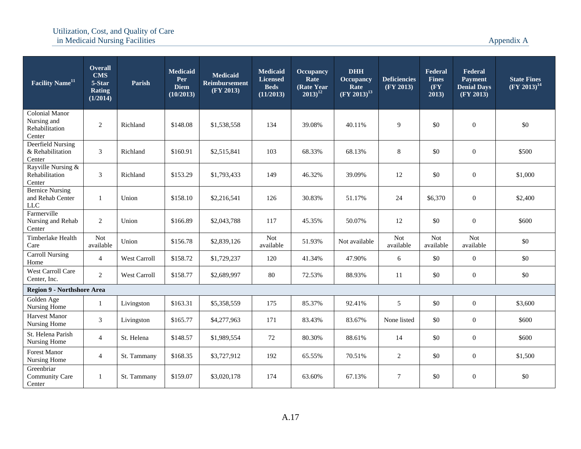| <b>Facility Name<sup>11</sup></b>                                | <b>Overall</b><br><b>CMS</b><br>5-Star<br>Rating<br>(1/2014) | Parish              | <b>Medicaid</b><br>Per<br><b>Diem</b><br>(10/2013) | <b>Medicaid</b><br><b>Reimbursement</b><br>(FY 2013) | <b>Medicaid</b><br><b>Licensed</b><br><b>Beds</b><br>(11/2013) | Occupancy<br>Rate<br>(Rate Year)<br>$2013)^{12}$ | <b>DHH</b><br><b>Occupancy</b><br>Rate<br>$\overline{(\rm{FY} 2013)^{13}}$ | <b>Deficiencies</b><br>(FY 2013) | Federal<br><b>Fines</b><br>(FY<br>2013) | Federal<br><b>Payment</b><br><b>Denial Days</b><br>(FY 2013) | <b>State Fines</b><br>$(FY 2013)^{14}$ |
|------------------------------------------------------------------|--------------------------------------------------------------|---------------------|----------------------------------------------------|------------------------------------------------------|----------------------------------------------------------------|--------------------------------------------------|----------------------------------------------------------------------------|----------------------------------|-----------------------------------------|--------------------------------------------------------------|----------------------------------------|
| <b>Colonial Manor</b><br>Nursing and<br>Rehabilitation<br>Center | 2                                                            | Richland            | \$148.08                                           | \$1,538,558                                          | 134                                                            | 39.08%                                           | 40.11%                                                                     | 9                                | \$0                                     | $\mathbf{0}$                                                 | \$0                                    |
| Deerfield Nursing<br>& Rehabilitation<br>Center                  | 3                                                            | Richland            | \$160.91                                           | \$2,515,841                                          | 103                                                            | 68.33%                                           | 68.13%                                                                     | 8                                | \$0                                     | $\mathbf{0}$                                                 | \$500                                  |
| Rayville Nursing &<br>Rehabilitation<br>Center                   | 3                                                            | Richland            | \$153.29                                           | \$1,793,433                                          | 149                                                            | 46.32%                                           | 39.09%                                                                     | 12                               | \$0                                     | $\mathbf{0}$                                                 | \$1,000                                |
| <b>Bernice Nursing</b><br>and Rehab Center<br>$LLC$              | $\mathbf{1}$                                                 | Union               | \$158.10                                           | \$2,216,541                                          | 126                                                            | 30.83%                                           | 51.17%                                                                     | 24                               | \$6,370                                 | $\boldsymbol{0}$                                             | \$2,400                                |
| Farmerville<br>Nursing and Rehab<br>Center                       | $\overline{2}$                                               | Union               | \$166.89                                           | \$2,043,788                                          | 117                                                            | 45.35%                                           | 50.07%                                                                     | 12                               | \$0                                     | $\mathbf{0}$                                                 | \$600                                  |
| Timberlake Health<br>Care                                        | <b>Not</b><br>available                                      | Union               | \$156.78                                           | \$2,839,126                                          | Not<br>available                                               | 51.93%                                           | Not available                                                              | Not<br>available                 | Not<br>available                        | Not<br>available                                             | \$0                                    |
| <b>Carroll Nursing</b><br>Home                                   | $\overline{4}$                                               | West Carroll        | \$158.72                                           | \$1,729,237                                          | 120                                                            | 41.34%                                           | 47.90%                                                                     | 6                                | $\$0$                                   | $\boldsymbol{0}$                                             | $\$0$                                  |
| <b>West Carroll Care</b><br>Center, Inc.                         | $\overline{2}$                                               | <b>West Carroll</b> | \$158.77                                           | \$2,689,997                                          | 80                                                             | 72.53%                                           | 88.93%                                                                     | <b>11</b>                        | \$0                                     | $\boldsymbol{0}$                                             | \$0                                    |
| <b>Region 9 - Northshore Area</b>                                |                                                              |                     |                                                    |                                                      |                                                                |                                                  |                                                                            |                                  |                                         |                                                              |                                        |
| Golden Age<br>Nursing Home                                       | 1                                                            | Livingston          | \$163.31                                           | \$5,358,559                                          | 175                                                            | 85.37%                                           | 92.41%                                                                     | 5                                | \$0                                     | $\mathbf{0}$                                                 | \$3,600                                |
| Harvest Manor<br>Nursing Home                                    | 3                                                            | Livingston          | \$165.77                                           | \$4,277,963                                          | 171                                                            | 83.43%                                           | 83.67%                                                                     | None listed                      | \$0                                     | $\mathbf{0}$                                                 | \$600                                  |
| St. Helena Parish<br>Nursing Home                                | $\overline{4}$                                               | St. Helena          | \$148.57                                           | \$1,989,554                                          | 72                                                             | 80.30%                                           | 88.61%                                                                     | 14                               | \$0                                     | $\mathbf{0}$                                                 | \$600                                  |
| Forest Manor<br>Nursing Home                                     | $\overline{4}$                                               | St. Tammany         | \$168.35                                           | \$3,727,912                                          | 192                                                            | 65.55%                                           | 70.51%                                                                     | 2                                | \$0                                     | $\mathbf{0}$                                                 | \$1,500                                |
| Greenbriar<br><b>Community Care</b><br>Center                    | $\mathbf{1}$                                                 | St. Tammany         | \$159.07                                           | \$3,020,178                                          | 174                                                            | 63.60%                                           | 67.13%                                                                     | $\tau$                           | \$0                                     | $\mathbf{0}$                                                 | \$0                                    |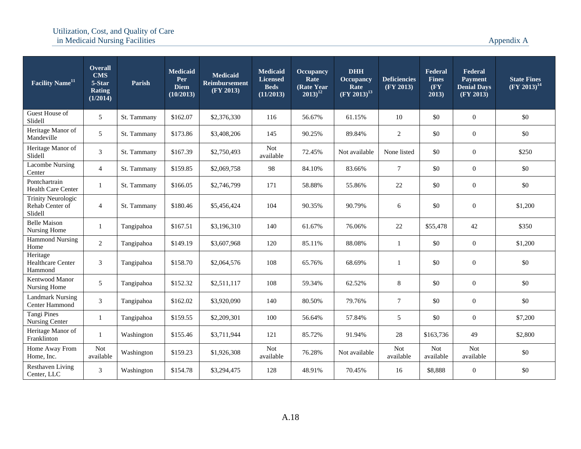| Facility Name <sup>11</sup>                             | <b>Overall</b><br><b>CMS</b><br>5-Star<br><b>Rating</b><br>(1/2014) | Parish      | <b>Medicaid</b><br>Per<br><b>Diem</b><br>(10/2013) | <b>Medicaid</b><br><b>Reimbursement</b><br>(FY 2013) | <b>Medicaid</b><br><b>Licensed</b><br><b>Beds</b><br>(11/2013) | <b>Occupancy</b><br>Rate<br>(Rate Year<br>$2013)^{12}$ | <b>DHH</b><br><b>Occupancy</b><br>Rate<br>$(FY 2013)^{13}$ | <b>Deficiencies</b><br>(FY 2013) | Federal<br><b>Fines</b><br>$(\mathbf{F}\mathbf{Y})$<br>2013) | Federal<br>Payment<br><b>Denial Days</b><br>(FY 2013) | <b>State Fines</b><br>$(FY 2013)^{14}$ |
|---------------------------------------------------------|---------------------------------------------------------------------|-------------|----------------------------------------------------|------------------------------------------------------|----------------------------------------------------------------|--------------------------------------------------------|------------------------------------------------------------|----------------------------------|--------------------------------------------------------------|-------------------------------------------------------|----------------------------------------|
| Guest House of<br>Slidell                               | 5                                                                   | St. Tammany | \$162.07                                           | \$2,376,330                                          | 116                                                            | 56.67%                                                 | 61.15%                                                     | 10                               | \$0                                                          | $\boldsymbol{0}$                                      | \$0                                    |
| Heritage Manor of<br>Mandeville                         | 5                                                                   | St. Tammany | \$173.86                                           | \$3,408,206                                          | 145                                                            | 90.25%                                                 | 89.84%                                                     | $\mathfrak{2}$                   | \$0                                                          | $\boldsymbol{0}$                                      | \$0                                    |
| Heritage Manor of<br>Slidell                            | 3                                                                   | St. Tammany | \$167.39                                           | \$2,750,493                                          | <b>Not</b><br>available                                        | 72.45%                                                 | Not available                                              | None listed                      | \$0                                                          | $\overline{0}$                                        | \$250                                  |
| <b>Lacombe Nursing</b><br>Center                        | $\overline{4}$                                                      | St. Tammany | \$159.85                                           | \$2,069,758                                          | 98                                                             | 84.10%                                                 | 83.66%                                                     | $\overline{7}$                   | \$0                                                          | $\boldsymbol{0}$                                      | \$0                                    |
| Pontchartrain<br>Health Care Center                     | $\mathbf{1}$                                                        | St. Tammany | \$166.05                                           | \$2,746,799                                          | 171                                                            | 58.88%                                                 | 55.86%                                                     | 22                               | \$0                                                          | $\boldsymbol{0}$                                      | \$0                                    |
| <b>Trinity Neurologic</b><br>Rehab Center of<br>Slidell | $\overline{4}$                                                      | St. Tammany | \$180.46                                           | \$5,456,424                                          | 104                                                            | 90.35%                                                 | 90.79%                                                     | 6                                | \$0                                                          | $\boldsymbol{0}$                                      | \$1,200                                |
| <b>Belle Maison</b><br>Nursing Home                     | 1                                                                   | Tangipahoa  | \$167.51                                           | \$3,196,310                                          | 140                                                            | 61.67%                                                 | 76.06%                                                     | 22                               | \$55,478                                                     | 42                                                    | \$350                                  |
| <b>Hammond Nursing</b><br>Home                          | $\overline{2}$                                                      | Tangipahoa  | \$149.19                                           | \$3,607,968                                          | 120                                                            | 85.11%                                                 | 88.08%                                                     | $\mathbf{1}$                     | \$0                                                          | $\overline{0}$                                        | \$1,200                                |
| Heritage<br><b>Healthcare Center</b><br>Hammond         | 3                                                                   | Tangipahoa  | \$158.70                                           | \$2,064,576                                          | 108                                                            | 65.76%                                                 | 68.69%                                                     | 1                                | \$0                                                          | $\boldsymbol{0}$                                      | \$0                                    |
| Kentwood Manor<br>Nursing Home                          | 5                                                                   | Tangipahoa  | \$152.32                                           | \$2,511,117                                          | 108                                                            | 59.34%                                                 | 62.52%                                                     | 8                                | \$0                                                          | $\overline{0}$                                        | \$0                                    |
| <b>Landmark Nursing</b><br>Center Hammond               | $\mathfrak{Z}$                                                      | Tangipahoa  | \$162.02                                           | \$3,920,090                                          | 140                                                            | 80.50%                                                 | 79.76%                                                     | $\overline{7}$                   | \$0                                                          | $\overline{0}$                                        | \$0                                    |
| <b>Tangi Pines</b><br>Nursing Center                    | $\mathbf{1}$                                                        | Tangipahoa  | \$159.55                                           | \$2,209,301                                          | 100                                                            | 56.64%                                                 | 57.84%                                                     | 5                                | \$0                                                          | $\overline{0}$                                        | \$7,200                                |
| Heritage Manor of<br>Franklinton                        |                                                                     | Washington  | \$155.46                                           | \$3,711,944                                          | 121                                                            | 85.72%                                                 | 91.94%                                                     | 28                               | \$163,736                                                    | 49                                                    | \$2,800                                |
| Home Away From<br>Home, Inc.                            | <b>Not</b><br>available                                             | Washington  | \$159.23                                           | \$1,926,308                                          | Not<br>available                                               | 76.28%                                                 | Not available                                              | <b>Not</b><br>available          | <b>Not</b><br>available                                      | <b>Not</b><br>available                               | \$0                                    |
| <b>Resthaven Living</b><br>Center, LLC                  | 3                                                                   | Washington  | \$154.78                                           | \$3,294,475                                          | 128                                                            | 48.91%                                                 | 70.45%                                                     | 16                               | \$8,888                                                      | $\boldsymbol{0}$                                      | \$0                                    |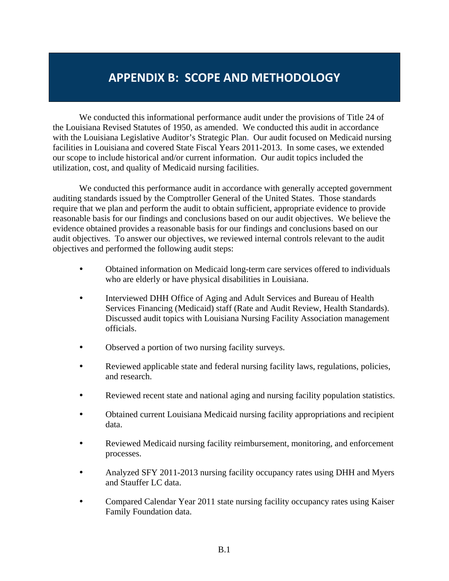# **APPENDIX B: SCOPE AND METHODOLOGY**

We conducted this informational performance audit under the provisions of Title 24 of the Louisiana Revised Statutes of 1950, as amended. We conducted this audit in accordance with the Louisiana Legislative Auditor's Strategic Plan. Our audit focused on Medicaid nursing facilities in Louisiana and covered State Fiscal Years 2011-2013. In some cases, we extended our scope to include historical and/or current information. Our audit topics included the utilization, cost, and quality of Medicaid nursing facilities.

We conducted this performance audit in accordance with generally accepted government auditing standards issued by the Comptroller General of the United States. Those standards require that we plan and perform the audit to obtain sufficient, appropriate evidence to provide reasonable basis for our findings and conclusions based on our audit objectives. We believe the evidence obtained provides a reasonable basis for our findings and conclusions based on our audit objectives. To answer our objectives, we reviewed internal controls relevant to the audit objectives and performed the following audit steps:

- Obtained information on Medicaid long-term care services offered to individuals who are elderly or have physical disabilities in Louisiana.
- Interviewed DHH Office of Aging and Adult Services and Bureau of Health Services Financing (Medicaid) staff (Rate and Audit Review, Health Standards). Discussed audit topics with Louisiana Nursing Facility Association management officials.
- Observed a portion of two nursing facility surveys.
- Reviewed applicable state and federal nursing facility laws, regulations, policies, and research.
- Reviewed recent state and national aging and nursing facility population statistics.
- Obtained current Louisiana Medicaid nursing facility appropriations and recipient data.
- Reviewed Medicaid nursing facility reimbursement, monitoring, and enforcement processes.
- Analyzed SFY 2011-2013 nursing facility occupancy rates using DHH and Myers and Stauffer LC data.
- Compared Calendar Year 2011 state nursing facility occupancy rates using Kaiser Family Foundation data.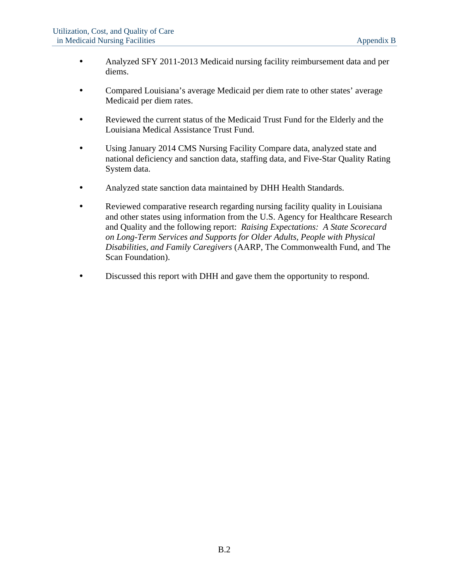- Analyzed SFY 2011-2013 Medicaid nursing facility reimbursement data and per diems.
- Compared Louisiana's average Medicaid per diem rate to other states' average Medicaid per diem rates.
- Reviewed the current status of the Medicaid Trust Fund for the Elderly and the Louisiana Medical Assistance Trust Fund.
- Using January 2014 CMS Nursing Facility Compare data, analyzed state and national deficiency and sanction data, staffing data, and Five-Star Quality Rating System data.
- Analyzed state sanction data maintained by DHH Health Standards.
- Reviewed comparative research regarding nursing facility quality in Louisiana and other states using information from the U.S. Agency for Healthcare Research and Quality and the following report: *Raising Expectations: A State Scorecard on Long-Term Services and Supports for Older Adults, People with Physical Disabilities, and Family Caregivers* (AARP, The Commonwealth Fund, and The Scan Foundation).
- Discussed this report with DHH and gave them the opportunity to respond.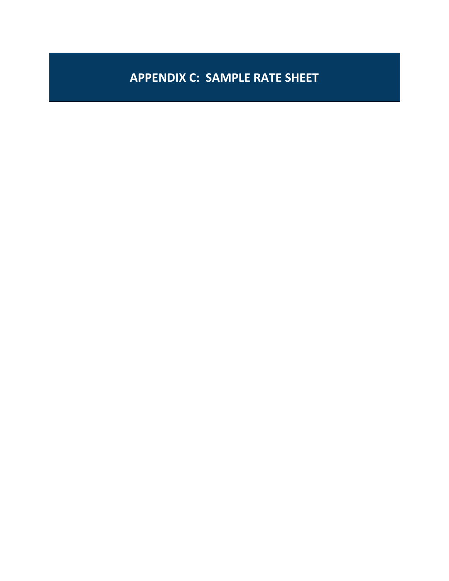# **APPENDIX C: SAMPLE RATE SHEET**